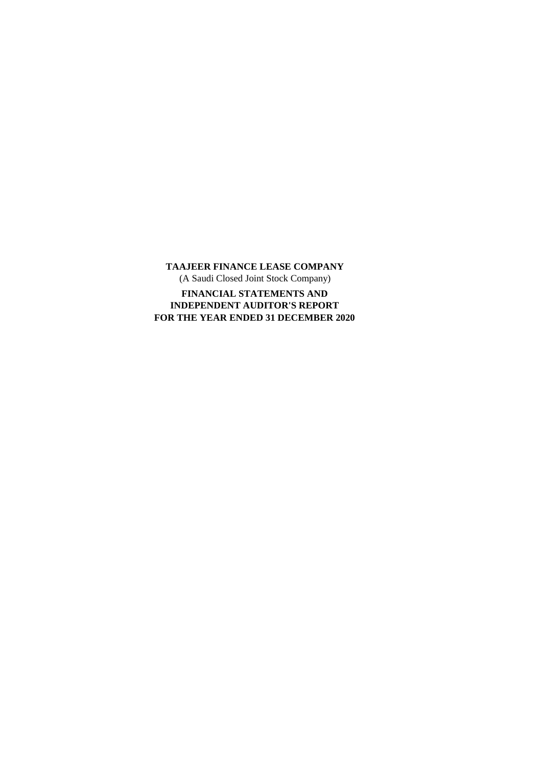**TAAJEER FINANCE LEASE COMPANY** (A Saudi Closed Joint Stock Company) **FOR THE YEAR ENDED 31 DECEMBER 2020 FINANCIAL STATEMENTS AND INDEPENDENT AUDITOR'S REPORT**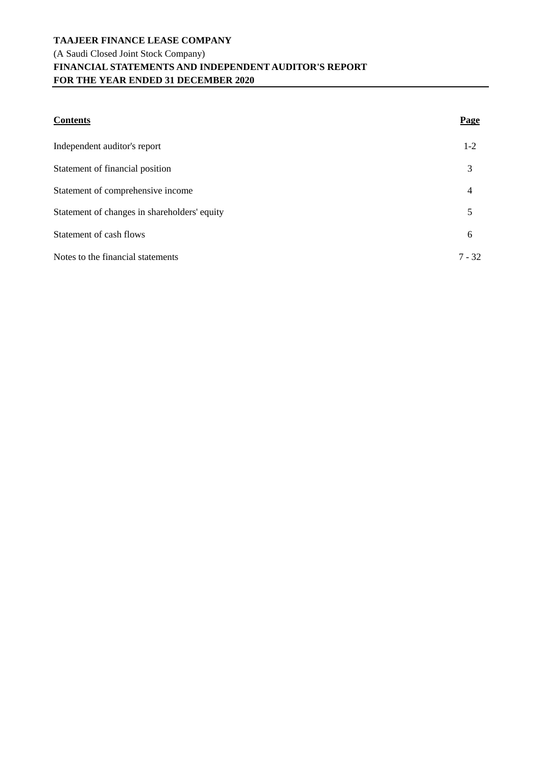# **TAAJEER FINANCE LEASE COMPANY** (A Saudi Closed Joint Stock Company) **FINANCIAL STATEMENTS AND INDEPENDENT AUDITOR'S REPORT FOR THE YEAR ENDED 31 DECEMBER 2020**

| <b>Contents</b>                              | <b>Page</b> |
|----------------------------------------------|-------------|
| Independent auditor's report                 | $1 - 2$     |
| Statement of financial position              | 3           |
| Statement of comprehensive income            | 4           |
| Statement of changes in shareholders' equity | 5           |
| Statement of cash flows                      | 6           |
| Notes to the financial statements            | $7 - 32$    |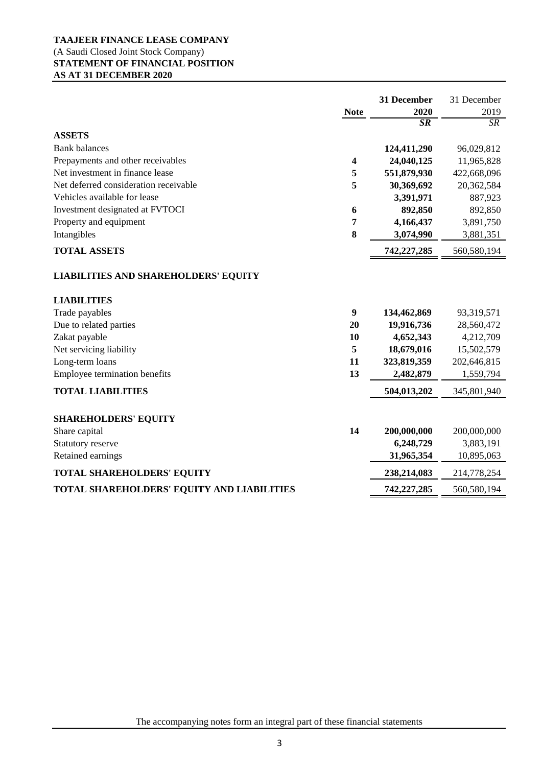# **TAAJEER FINANCE LEASE COMPANY** (A Saudi Closed Joint Stock Company) **STATEMENT OF FINANCIAL POSITION AS AT 31 DECEMBER 2020**

|                                                                   |                         | 31 December     | 31 December |
|-------------------------------------------------------------------|-------------------------|-----------------|-------------|
|                                                                   | <b>Note</b>             | 2020            | 2019        |
|                                                                   |                         | $\overline{SR}$ | <b>SR</b>   |
| <b>ASSETS</b>                                                     |                         |                 |             |
| <b>Bank balances</b>                                              |                         | 124,411,290     | 96,029,812  |
| Prepayments and other receivables                                 | $\overline{\mathbf{4}}$ | 24,040,125      | 11,965,828  |
| Net investment in finance lease                                   | 5                       | 551,879,930     | 422,668,096 |
| Net deferred consideration receivable                             | 5                       | 30,369,692      | 20,362,584  |
| Vehicles available for lease                                      |                         | 3,391,971       | 887,923     |
| Investment designated at FVTOCI                                   | 6                       | 892,850         | 892,850     |
| Property and equipment                                            | 7                       | 4,166,437       | 3,891,750   |
| Intangibles                                                       | 8                       | 3,074,990       | 3,881,351   |
| <b>TOTAL ASSETS</b>                                               |                         | 742,227,285     | 560,580,194 |
| <b>LIABILITIES AND SHAREHOLDERS' EQUITY</b><br><b>LIABILITIES</b> |                         |                 |             |
| Trade payables                                                    | $\boldsymbol{9}$        | 134,462,869     | 93,319,571  |
| Due to related parties                                            | 20                      | 19,916,736      | 28,560,472  |
| Zakat payable                                                     | 10                      | 4,652,343       | 4,212,709   |
| Net servicing liability                                           | 5                       | 18,679,016      | 15,502,579  |
| Long-term loans                                                   | 11                      | 323,819,359     | 202,646,815 |
| Employee termination benefits                                     | 13                      | 2,482,879       | 1,559,794   |
| <b>TOTAL LIABILITIES</b>                                          |                         | 504,013,202     | 345,801,940 |
| <b>SHAREHOLDERS' EQUITY</b>                                       |                         |                 |             |
| Share capital                                                     | 14                      | 200,000,000     | 200,000,000 |
| Statutory reserve                                                 |                         | 6,248,729       | 3,883,191   |
| Retained earnings                                                 |                         | 31,965,354      | 10,895,063  |
| <b>TOTAL SHAREHOLDERS' EQUITY</b>                                 |                         | 238,214,083     | 214,778,254 |
| TOTAL SHAREHOLDERS' EQUITY AND LIABILITIES                        |                         | 742,227,285     | 560,580,194 |

The accompanying notes form an integral part of these financial statements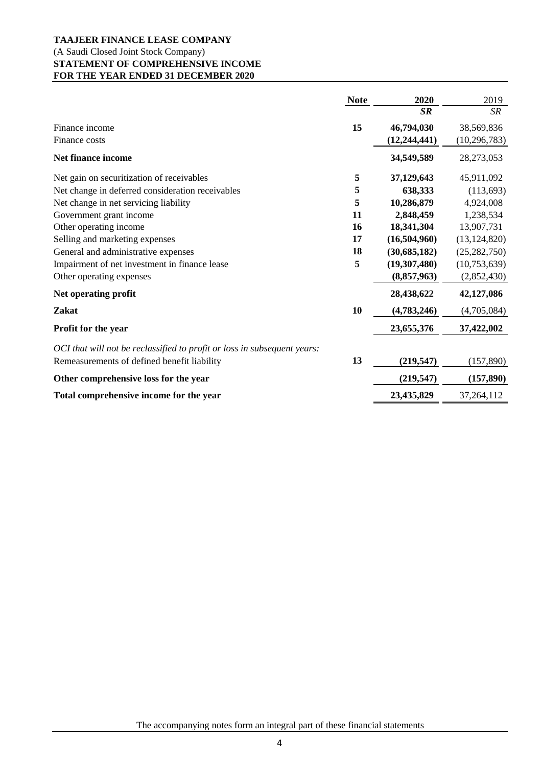# **TAAJEER FINANCE LEASE COMPANY** (A Saudi Closed Joint Stock Company) **STATEMENT OF COMPREHENSIVE INCOME FOR THE YEAR ENDED 31 DECEMBER 2020**

|                                                                          | <b>Note</b> | 2020           | 2019           |
|--------------------------------------------------------------------------|-------------|----------------|----------------|
|                                                                          |             | <b>SR</b>      | SR             |
| Finance income                                                           | 15          | 46,794,030     | 38,569,836     |
| Finance costs                                                            |             | (12, 244, 441) | (10, 296, 783) |
| <b>Net finance income</b>                                                |             | 34,549,589     | 28,273,053     |
| Net gain on securitization of receivables                                | 5           | 37,129,643     | 45,911,092     |
| Net change in deferred consideration receivables                         | 5           | 638,333        | (113,693)      |
| Net change in net servicing liability                                    | 5           | 10,286,879     | 4,924,008      |
| Government grant income                                                  | 11          | 2,848,459      | 1,238,534      |
| Other operating income                                                   | <b>16</b>   | 18,341,304     | 13,907,731     |
| Selling and marketing expenses                                           | 17          | (16,504,960)   | (13, 124, 820) |
| General and administrative expenses                                      | 18          | (30,685,182)   | (25, 282, 750) |
| Impairment of net investment in finance lease                            | 5           | (19,307,480)   | (10,753,639)   |
| Other operating expenses                                                 |             | (8,857,963)    | (2,852,430)    |
| Net operating profit                                                     |             | 28,438,622     | 42,127,086     |
| <b>Zakat</b>                                                             | 10          | (4,783,246)    | (4,705,084)    |
| Profit for the year                                                      |             | 23,655,376     | 37,422,002     |
| OCI that will not be reclassified to profit or loss in subsequent years: |             |                |                |
| Remeasurements of defined benefit liability                              | 13          | (219, 547)     | (157, 890)     |
| Other comprehensive loss for the year                                    |             | (219, 547)     | (157, 890)     |
| Total comprehensive income for the year                                  |             | 23,435,829     | 37, 264, 112   |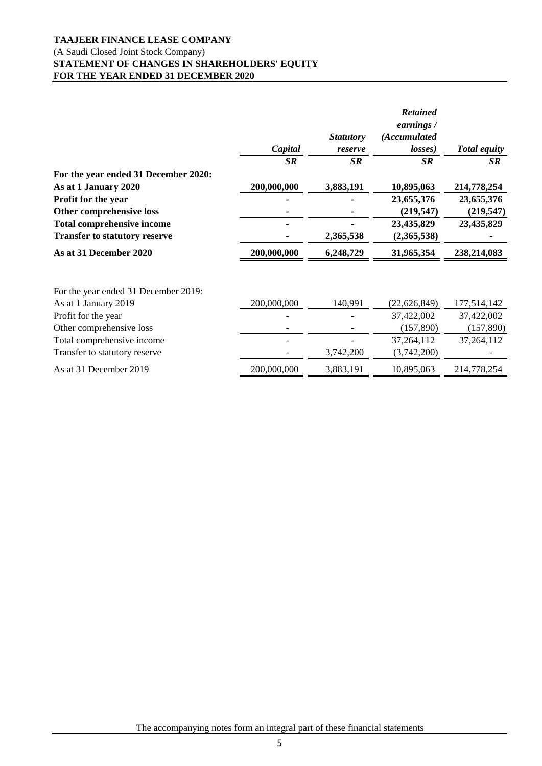# **TAAJEER FINANCE LEASE COMPANY** (A Saudi Closed Joint Stock Company) **STATEMENT OF CHANGES IN SHAREHOLDERS' EQUITY FOR THE YEAR ENDED 31 DECEMBER 2020**

|                                      |             |                  | <b>Retained</b><br>earnings / |                     |
|--------------------------------------|-------------|------------------|-------------------------------|---------------------|
|                                      |             | <b>Statutory</b> | (Accumulated                  |                     |
|                                      | Capital     | reserve          | losses)                       | <b>Total equity</b> |
|                                      | SR          | <b>SR</b>        | SR                            | <b>SR</b>           |
| For the year ended 31 December 2020: |             |                  |                               |                     |
| As at 1 January 2020                 | 200,000,000 | 3,883,191        | 10,895,063                    | 214,778,254         |
| Profit for the year                  |             |                  | 23,655,376                    | 23,655,376          |
| Other comprehensive loss             |             |                  | (219, 547)                    | (219, 547)          |
| <b>Total comprehensive income</b>    |             |                  | 23,435,829                    | 23,435,829          |
| <b>Transfer to statutory reserve</b> |             | 2,365,538        | (2,365,538)                   |                     |
| As at 31 December 2020               | 200,000,000 | 6,248,729        | 31,965,354                    | 238,214,083         |
|                                      |             |                  |                               |                     |
| For the year ended 31 December 2019: |             |                  |                               |                     |
| As at 1 January 2019                 | 200,000,000 | 140,991          | (22, 626, 849)                | 177,514,142         |
| Profit for the year                  |             |                  | 37,422,002                    | 37,422,002          |
| Other comprehensive loss             |             |                  | (157, 890)                    | (157, 890)          |
| Total comprehensive income           |             |                  | 37,264,112                    | 37,264,112          |
| Transfer to statutory reserve        |             | 3,742,200        | (3,742,200)                   |                     |
| As at 31 December 2019               | 200,000,000 | 3,883,191        | 10,895,063                    | 214,778,254         |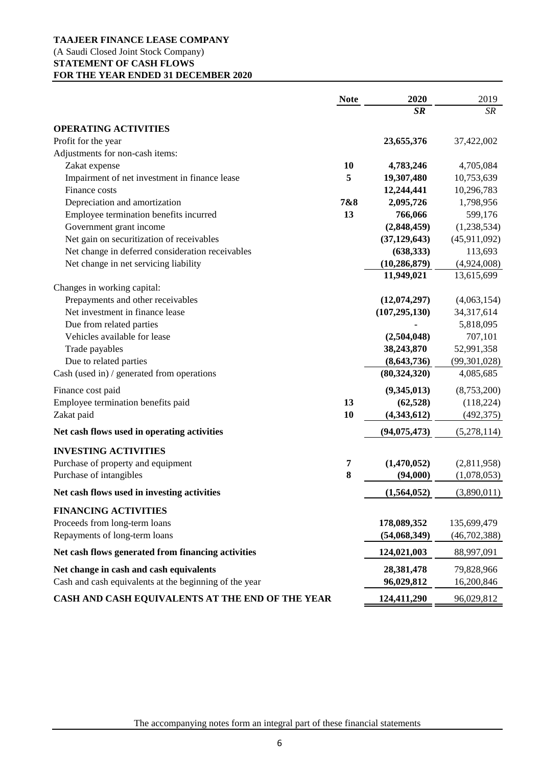# **TAAJEER FINANCE LEASE COMPANY**

## (A Saudi Closed Joint Stock Company) **STATEMENT OF CASH FLOWS FOR THE YEAR ENDED 31 DECEMBER 2020**

|                                                        | <b>Note</b> | 2020            | 2019           |
|--------------------------------------------------------|-------------|-----------------|----------------|
|                                                        |             | $S_{I\!\!R}$    | SR             |
| <b>OPERATING ACTIVITIES</b>                            |             |                 |                |
| Profit for the year                                    |             | 23,655,376      | 37,422,002     |
| Adjustments for non-cash items:                        |             |                 |                |
| Zakat expense                                          | <b>10</b>   | 4,783,246       | 4,705,084      |
| Impairment of net investment in finance lease          | 5           | 19,307,480      | 10,753,639     |
| Finance costs                                          |             | 12,244,441      | 10,296,783     |
| Depreciation and amortization                          | 7&8         | 2,095,726       | 1,798,956      |
| Employee termination benefits incurred                 | 13          | 766,066         | 599,176        |
| Government grant income                                |             | (2,848,459)     | (1,238,534)    |
| Net gain on securitization of receivables              |             | (37, 129, 643)  | (45,911,092)   |
| Net change in deferred consideration receivables       |             | (638, 333)      | 113,693        |
| Net change in net servicing liability                  |             | (10, 286, 879)  | (4,924,008)    |
|                                                        |             | 11,949,021      | 13,615,699     |
| Changes in working capital:                            |             |                 |                |
| Prepayments and other receivables                      |             | (12,074,297)    | (4,063,154)    |
| Net investment in finance lease                        |             | (107, 295, 130) | 34,317,614     |
| Due from related parties                               |             |                 | 5,818,095      |
| Vehicles available for lease                           |             | (2,504,048)     | 707,101        |
| Trade payables                                         |             | 38,243,870      | 52,991,358     |
| Due to related parties                                 |             | (8,643,736)     | (99, 301, 028) |
| Cash (used in) / generated from operations             |             | (80, 324, 320)  | 4,085,685      |
| Finance cost paid                                      |             | (9,345,013)     | (8,753,200)    |
| Employee termination benefits paid                     | 13          | (62, 528)       | (118, 224)     |
| Zakat paid                                             | 10          | (4,343,612)     | (492, 375)     |
| Net cash flows used in operating activities            |             | (94, 075, 473)  | (5,278,114)    |
| <b>INVESTING ACTIVITIES</b>                            |             |                 |                |
| Purchase of property and equipment                     | 7           | (1,470,052)     | (2,811,958)    |
| Purchase of intangibles                                | 8           | (94,000)        | (1,078,053)    |
| Net cash flows used in investing activities            |             | (1,564,052)     | (3,890,011)    |
|                                                        |             |                 |                |
| <b>FINANCING ACTIVITIES</b>                            |             |                 |                |
| Proceeds from long-term loans                          |             | 178,089,352     | 135,699,479    |
| Repayments of long-term loans                          |             | (54,068,349)    | (46,702,388)   |
| Net cash flows generated from financing activities     |             | 124,021,003     | 88,997,091     |
| Net change in cash and cash equivalents                |             | 28,381,478      | 79,828,966     |
| Cash and cash equivalents at the beginning of the year |             | 96,029,812      | 16,200,846     |
| CASH AND CASH EQUIVALENTS AT THE END OF THE YEAR       |             | 124,411,290     | 96,029,812     |

The accompanying notes form an integral part of these financial statements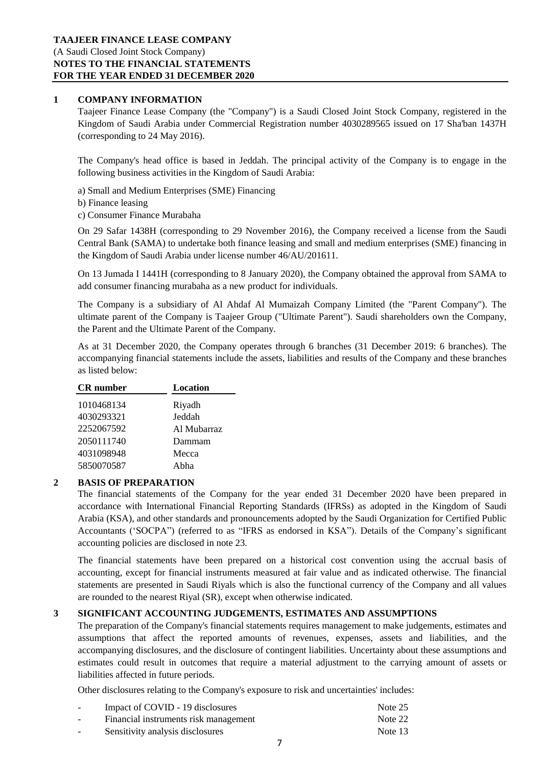## **1 COMPANY INFORMATION**

Taajeer Finance Lease Company (the "Company") is a Saudi Closed Joint Stock Company, registered in the Kingdom of Saudi Arabia under Commercial Registration number 4030289565 issued on 17 Sha'ban 1437H (corresponding to 24 May 2016).

The Company's head office is based in Jeddah. The principal activity of the Company is to engage in the following business activities in the Kingdom of Saudi Arabia:

a) Small and Medium Enterprises (SME) Financing

b) Finance leasing

c) Consumer Finance Murabaha

On 29 Safar 1438H (corresponding to 29 November 2016), the Company received a license from the Saudi Central Bank (SAMA) to undertake both finance leasing and small and medium enterprises (SME) financing in the Kingdom of Saudi Arabia under license number 46/AU/201611.

On 13 Jumada I 1441H (corresponding to 8 January 2020), the Company obtained the approval from SAMA to add consumer financing murabaha as a new product for individuals.

The Company is a subsidiary of Al Ahdaf Al Mumaizah Company Limited (the "Parent Company"). The ultimate parent of the Company is Taajeer Group ("Ultimate Parent"). Saudi shareholders own the Company, the Parent and the Ultimate Parent of the Company.

As at 31 December 2020, the Company operates through 6 branches (31 December 2019: 6 branches). The accompanying financial statements include the assets, liabilities and results of the Company and these branches as listed below:

| Location    |
|-------------|
| Riyadh      |
| Jeddah      |
| Al Mubarraz |
| Dammam      |
| Mecca       |
| Ahha        |
|             |

## **2 BASIS OF PREPARATION**

The financial statements of the Company for the year ended 31 December 2020 have been prepared in accordance with International Financial Reporting Standards (IFRSs) as adopted in the Kingdom of Saudi Arabia (KSA), and other standards and pronouncements adopted by the Saudi Organization for Certified Public Accountants ('SOCPA") (referred to as "IFRS as endorsed in KSA"). Details of the Company's significant accounting policies are disclosed in note 23.

The financial statements have been prepared on a historical cost convention using the accrual basis of accounting, except for financial instruments measured at fair value and as indicated otherwise. The financial statements are presented in Saudi Riyals which is also the functional currency of the Company and all values are rounded to the nearest Riyal (SR), except when otherwise indicated.

## **3 SIGNIFICANT ACCOUNTING JUDGEMENTS, ESTIMATES AND ASSUMPTIONS**

The preparation of the Company's financial statements requires management to make judgements, estimates and assumptions that affect the reported amounts of revenues, expenses, assets and liabilities, and the accompanying disclosures, and the disclosure of contingent liabilities. Uncertainty about these assumptions and estimates could result in outcomes that require a material adjustment to the carrying amount of assets or liabilities affected in future periods.

Other disclosures relating to the Company's exposure to risk and uncertainties' includes:

| $\overline{\phantom{0}}$ | Impact of COVID - 19 disclosures      | Note 25 |
|--------------------------|---------------------------------------|---------|
| $\overline{\phantom{0}}$ | Financial instruments risk management | Note 22 |
| $\overline{\phantom{0}}$ | Sensitivity analysis disclosures      | Note 13 |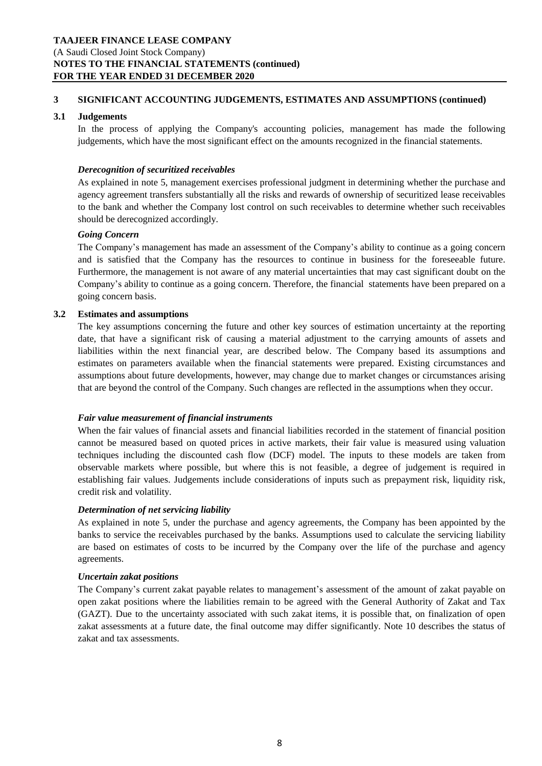## **TAAJEER FINANCE LEASE COMPANY** (A Saudi Closed Joint Stock Company) **NOTES TO THE FINANCIAL STATEMENTS (continued) FOR THE YEAR ENDED 31 DECEMBER 2020**

## **3 SIGNIFICANT ACCOUNTING JUDGEMENTS, ESTIMATES AND ASSUMPTIONS (continued)**

## **3.1 Judgements**

In the process of applying the Company's accounting policies, management has made the following judgements, which have the most significant effect on the amounts recognized in the financial statements.

## *Derecognition of securitized receivables*

As explained in note 5, management exercises professional judgment in determining whether the purchase and agency agreement transfers substantially all the risks and rewards of ownership of securitized lease receivables to the bank and whether the Company lost control on such receivables to determine whether such receivables should be derecognized accordingly.

#### *Going Concern*

The Company's management has made an assessment of the Company's ability to continue as a going concern and is satisfied that the Company has the resources to continue in business for the foreseeable future. Furthermore, the management is not aware of any material uncertainties that may cast significant doubt on the Company's ability to continue as a going concern. Therefore, the financial statements have been prepared on a going concern basis.

## **3.2 Estimates and assumptions**

The key assumptions concerning the future and other key sources of estimation uncertainty at the reporting date, that have a significant risk of causing a material adjustment to the carrying amounts of assets and liabilities within the next financial year, are described below. The Company based its assumptions and estimates on parameters available when the financial statements were prepared. Existing circumstances and assumptions about future developments, however, may change due to market changes or circumstances arising that are beyond the control of the Company. Such changes are reflected in the assumptions when they occur.

## *Fair value measurement of financial instruments*

When the fair values of financial assets and financial liabilities recorded in the statement of financial position cannot be measured based on quoted prices in active markets, their fair value is measured using valuation techniques including the discounted cash flow (DCF) model. The inputs to these models are taken from observable markets where possible, but where this is not feasible, a degree of judgement is required in establishing fair values. Judgements include considerations of inputs such as prepayment risk, liquidity risk, credit risk and volatility.

## *Determination of net servicing liability*

As explained in note 5, under the purchase and agency agreements, the Company has been appointed by the banks to service the receivables purchased by the banks. Assumptions used to calculate the servicing liability are based on estimates of costs to be incurred by the Company over the life of the purchase and agency agreements.

#### *Uncertain zakat positions*

The Company's current zakat payable relates to management's assessment of the amount of zakat payable on open zakat positions where the liabilities remain to be agreed with the General Authority of Zakat and Tax (GAZT). Due to the uncertainty associated with such zakat items, it is possible that, on finalization of open zakat assessments at a future date, the final outcome may differ significantly. Note 10 describes the status of zakat and tax assessments.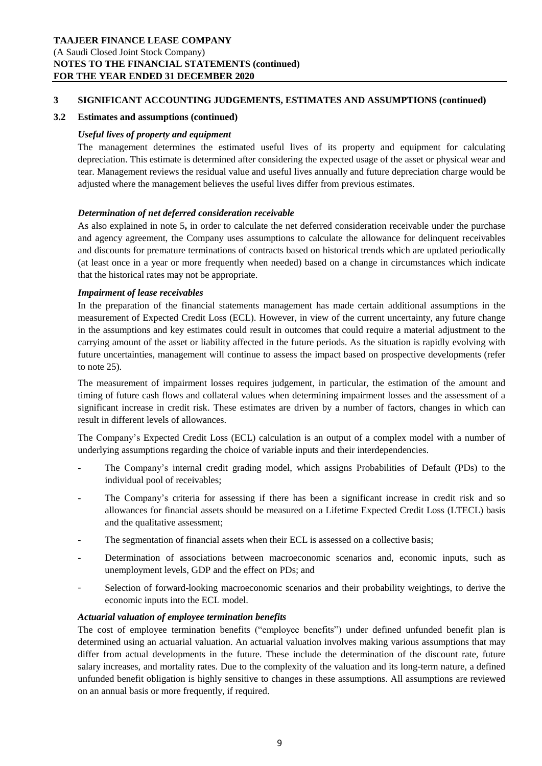## **3 SIGNIFICANT ACCOUNTING JUDGEMENTS, ESTIMATES AND ASSUMPTIONS (continued)**

## **3.2 Estimates and assumptions (continued)**

## *Useful lives of property and equipment*

The management determines the estimated useful lives of its property and equipment for calculating depreciation. This estimate is determined after considering the expected usage of the asset or physical wear and tear. Management reviews the residual value and useful lives annually and future depreciation charge would be adjusted where the management believes the useful lives differ from previous estimates.

## *Determination of net deferred consideration receivable*

As also explained in note 5**,** in order to calculate the net deferred consideration receivable under the purchase and agency agreement, the Company uses assumptions to calculate the allowance for delinquent receivables and discounts for premature terminations of contracts based on historical trends which are updated periodically (at least once in a year or more frequently when needed) based on a change in circumstances which indicate that the historical rates may not be appropriate.

## *Impairment of lease receivables*

In the preparation of the financial statements management has made certain additional assumptions in the measurement of Expected Credit Loss (ECL). However, in view of the current uncertainty, any future change in the assumptions and key estimates could result in outcomes that could require a material adjustment to the carrying amount of the asset or liability affected in the future periods. As the situation is rapidly evolving with future uncertainties, management will continue to assess the impact based on prospective developments (refer to note 25).

The measurement of impairment losses requires judgement, in particular, the estimation of the amount and timing of future cash flows and collateral values when determining impairment losses and the assessment of a significant increase in credit risk. These estimates are driven by a number of factors, changes in which can result in different levels of allowances.

The Company's Expected Credit Loss (ECL) calculation is an output of a complex model with a number of underlying assumptions regarding the choice of variable inputs and their interdependencies.

- The Company's internal credit grading model, which assigns Probabilities of Default (PDs) to the individual pool of receivables;
- The Company's criteria for assessing if there has been a significant increase in credit risk and so allowances for financial assets should be measured on a Lifetime Expected Credit Loss (LTECL) basis and the qualitative assessment;
- The segmentation of financial assets when their ECL is assessed on a collective basis;
- Determination of associations between macroeconomic scenarios and, economic inputs, such as unemployment levels, GDP and the effect on PDs; and
- Selection of forward-looking macroeconomic scenarios and their probability weightings, to derive the economic inputs into the ECL model.

## *Actuarial valuation of employee termination benefits*

The cost of employee termination benefits ("employee benefits") under defined unfunded benefit plan is determined using an actuarial valuation. An actuarial valuation involves making various assumptions that may differ from actual developments in the future. These include the determination of the discount rate, future salary increases, and mortality rates. Due to the complexity of the valuation and its long-term nature, a defined unfunded benefit obligation is highly sensitive to changes in these assumptions. All assumptions are reviewed on an annual basis or more frequently, if required.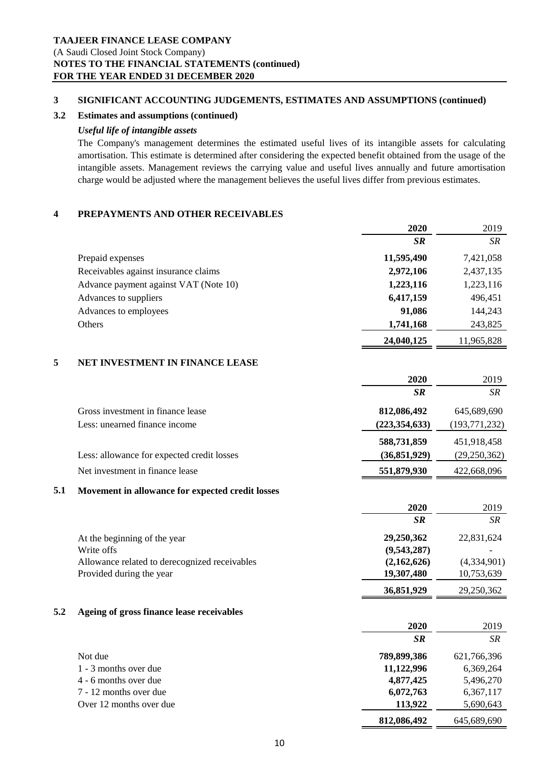## **3 SIGNIFICANT ACCOUNTING JUDGEMENTS, ESTIMATES AND ASSUMPTIONS (continued)**

## **3.2 Estimates and assumptions (continued)**

## *Useful life of intangible assets*

The Company's management determines the estimated useful lives of its intangible assets for calculating amortisation. This estimate is determined after considering the expected benefit obtained from the usage of the intangible assets. Management reviews the carrying value and useful lives annually and future amortisation charge would be adjusted where the management believes the useful lives differ from previous estimates.

## **4 PREPAYMENTS AND OTHER RECEIVABLES**

|     |                                                  | 2020            | 2019            |
|-----|--------------------------------------------------|-----------------|-----------------|
|     |                                                  | <b>SR</b>       | SR              |
|     | Prepaid expenses                                 | 11,595,490      | 7,421,058       |
|     | Receivables against insurance claims             | 2,972,106       | 2,437,135       |
|     | Advance payment against VAT (Note 10)            | 1,223,116       | 1,223,116       |
|     | Advances to suppliers                            | 6,417,159       | 496,451         |
|     | Advances to employees                            | 91,086          | 144,243         |
|     | Others                                           | 1,741,168       | 243,825         |
|     |                                                  | 24,040,125      | 11,965,828      |
| 5   | NET INVESTMENT IN FINANCE LEASE                  |                 |                 |
|     |                                                  | 2020            | 2019            |
|     |                                                  | SR              | SR              |
|     | Gross investment in finance lease                | 812,086,492     | 645,689,690     |
|     | Less: unearned finance income                    | (223, 354, 633) | (193, 771, 232) |
|     |                                                  | 588,731,859     | 451,918,458     |
|     | Less: allowance for expected credit losses       | (36, 851, 929)  | (29, 250, 362)  |
|     | Net investment in finance lease                  | 551,879,930     | 422,668,096     |
| 5.1 | Movement in allowance for expected credit losses |                 |                 |
|     |                                                  | 2020            | 2019            |
|     |                                                  | SR              | SR              |
|     | At the beginning of the year                     | 29,250,362      | 22,831,624      |
|     | Write offs                                       | (9,543,287)     |                 |
|     | Allowance related to derecognized receivables    | (2,162,626)     | (4,334,901)     |
|     | Provided during the year                         | 19,307,480      | 10,753,639      |
|     |                                                  | 36,851,929      | 29,250,362      |
| 5.2 | Ageing of gross finance lease receivables        |                 |                 |
|     |                                                  | 2020            | 2019            |
|     |                                                  | <b>SR</b>       | SR              |
|     | Not due                                          | 789,899,386     | 621,766,396     |
|     | 1 - 3 months over due                            | 11,122,996      | 6,369,264       |
|     | 4 - 6 months over due                            | 4,877,425       | 5,496,270       |
|     | 7 - 12 months over due                           | 6,072,763       | 6,367,117       |
|     | Over 12 months over due                          | 113,922         | 5,690,643       |

 **812,086,492** 645,689,690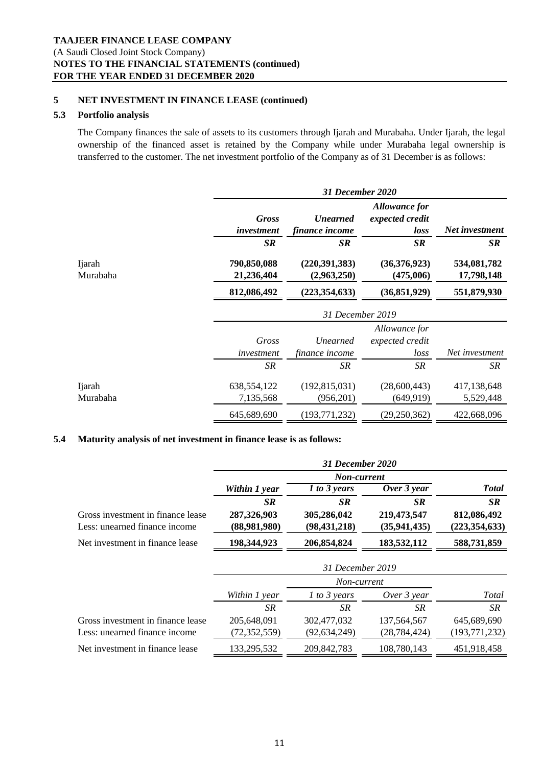## **5 NET INVESTMENT IN FINANCE LEASE (continued)**

## **5.3 Portfolio analysis**

The Company finances the sale of assets to its customers through Ijarah and Murabaha. Under Ijarah, the legal ownership of the financed asset is retained by the Company while under Murabaha legal ownership is transferred to the customer. The net investment portfolio of the Company as of 31 December is as follows:

|                            |                                        | 31 December 2020                            |                                                       |                                        |  |
|----------------------------|----------------------------------------|---------------------------------------------|-------------------------------------------------------|----------------------------------------|--|
|                            | <b>Gross</b><br>investment             | <b>Unearned</b><br>finance income           | <b>Allowance for</b><br>expected credit<br>loss       | Net investment                         |  |
| <b>I</b> jarah<br>Murabaha | <b>SR</b><br>790,850,088<br>21,236,404 | <b>SR</b><br>(220, 391, 383)<br>(2,963,250) | <b>SR</b><br>(36,376,923)<br>(475,006)                | <b>SR</b><br>534,081,782<br>17,798,148 |  |
|                            | 812,086,492                            | (223, 354, 633)                             | (36, 851, 929)                                        | 551,879,930                            |  |
|                            | 31 December 2019                       |                                             |                                                       |                                        |  |
|                            | Gross<br>investment<br><b>SR</b>       | Unearned<br>finance income<br><b>SR</b>     | Allowance for<br>expected credit<br>loss<br><b>SR</b> | Net investment<br>SR                   |  |
| Ijarah<br>Murabaha         | 638,554,122<br>7,135,568               | (192, 815, 031)<br>(956,201)                | (28,600,443)<br>(649, 919)                            | 417,138,648<br>5,529,448               |  |
|                            | 645,689,690                            | (193, 771, 232)                             | (29, 250, 362)                                        | 422,668,096                            |  |

## **5.4 Maturity analysis of net investment in finance lease is as follows:**

|                                   | 31 December 2020 |                |                |                 |  |
|-----------------------------------|------------------|----------------|----------------|-----------------|--|
|                                   |                  | Non-current    |                |                 |  |
|                                   | Within 1 year    | 1 to 3 years   | Over $3$ year  | <b>Total</b>    |  |
|                                   | <b>SR</b>        | <b>SR</b>      | <b>SR</b>      | <b>SR</b>       |  |
| Gross investment in finance lease | 287,326,903      | 305,286,042    | 219,473,547    | 812,086,492     |  |
| Less: unearned finance income     | (88,981,980)     | (98, 431, 218) | (35, 941, 435) | (223, 354, 633) |  |
| Net investment in finance lease   | 198,344,923      | 206,854,824    | 183,532,112    | 588,731,859     |  |

|                                   | 31 December 2019 |                |                |                 |
|-----------------------------------|------------------|----------------|----------------|-----------------|
|                                   |                  | Non-current    |                |                 |
|                                   | Within 1 year    | $1$ to 3 years | Over 3 year    | Total           |
|                                   | SR               | SR             | SR             | <b>SR</b>       |
| Gross investment in finance lease | 205,648,091      | 302,477,032    | 137, 564, 567  | 645,689,690     |
| Less: unearned finance income     | (72, 352, 559)   | (92, 634, 249) | (28, 784, 424) | (193, 771, 232) |
| Net investment in finance lease   | 133,295,532      | 209,842,783    | 108,780,143    | 451,918,458     |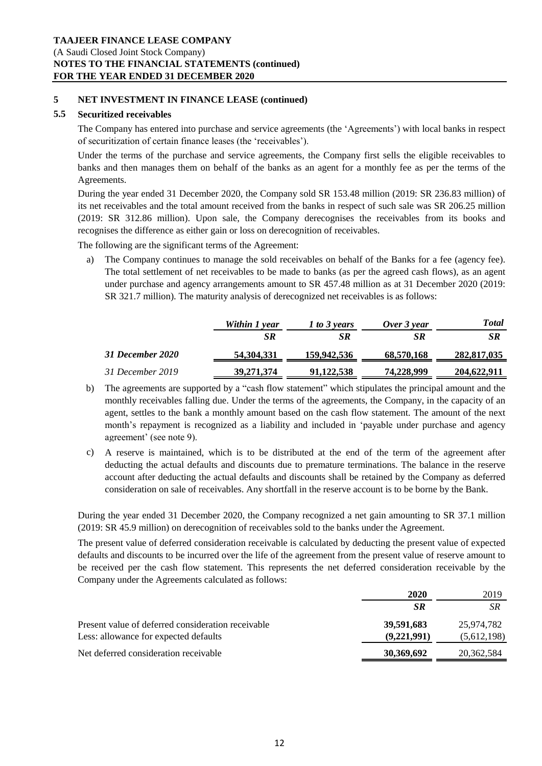## **5 NET INVESTMENT IN FINANCE LEASE (continued)**

## **5.5 Securitized receivables**

The Company has entered into purchase and service agreements (the 'Agreements') with local banks in respect of securitization of certain finance leases (the 'receivables').

Under the terms of the purchase and service agreements, the Company first sells the eligible receivables to banks and then manages them on behalf of the banks as an agent for a monthly fee as per the terms of the Agreements.

During the year ended 31 December 2020, the Company sold SR 153.48 million (2019: SR 236.83 million) of its net receivables and the total amount received from the banks in respect of such sale was SR 206.25 million (2019: SR 312.86 million). Upon sale, the Company derecognises the receivables from its books and recognises the difference as either gain or loss on derecognition of receivables.

The following are the significant terms of the Agreement:

a) The Company continues to manage the sold receivables on behalf of the Banks for a fee (agency fee). The total settlement of net receivables to be made to banks (as per the agreed cash flows), as an agent under purchase and agency arrangements amount to SR 457.48 million as at 31 December 2020 (2019: SR 321.7 million). The maturity analysis of derecognized net receivables is as follows:

|                  | Within 1 year | 1 to 3 years | Over 3 year | Total       |
|------------------|---------------|--------------|-------------|-------------|
|                  | SR            | SR.          | SR          | <b>SR</b>   |
| 31 December 2020 | 54,304,331    | 159,942,536  | 68,570,168  | 282,817,035 |
| 31 December 2019 | 39, 271, 374  | 91,122,538   | 74,228,999  | 204,622,911 |

- b) The agreements are supported by a "cash flow statement" which stipulates the principal amount and the monthly receivables falling due. Under the terms of the agreements, the Company, in the capacity of an agent, settles to the bank a monthly amount based on the cash flow statement. The amount of the next month's repayment is recognized as a liability and included in 'payable under purchase and agency agreement' (see note 9).
- c) A reserve is maintained, which is to be distributed at the end of the term of the agreement after deducting the actual defaults and discounts due to premature terminations. The balance in the reserve account after deducting the actual defaults and discounts shall be retained by the Company as deferred consideration on sale of receivables. Any shortfall in the reserve account is to be borne by the Bank.

During the year ended 31 December 2020, the Company recognized a net gain amounting to SR 37.1 million (2019: SR 45.9 million) on derecognition of receivables sold to the banks under the Agreement.

The present value of deferred consideration receivable is calculated by deducting the present value of expected defaults and discounts to be incurred over the life of the agreement from the present value of reserve amount to be received per the cash flow statement. This represents the net deferred consideration receivable by the Company under the Agreements calculated as follows:

| 2020        | 2019        |
|-------------|-------------|
| SR.         | SR.         |
| 39,591,683  | 25.974.782  |
| (9,221,991) | (5,612,198) |
| 30,369,692  | 20,362,584  |
|             |             |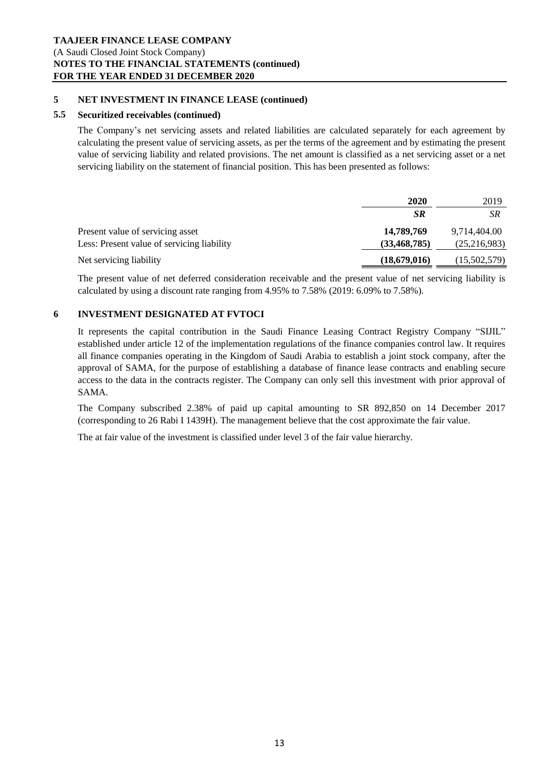## **5 NET INVESTMENT IN FINANCE LEASE (continued)**

## **5.5 Securitized receivables (continued)**

The Company's net servicing assets and related liabilities are calculated separately for each agreement by calculating the present value of servicing assets, as per the terms of the agreement and by estimating the present value of servicing liability and related provisions. The net amount is classified as a net servicing asset or a net servicing liability on the statement of financial position. This has been presented as follows:

|                                            | 2020           | 2019         |
|--------------------------------------------|----------------|--------------|
|                                            | SR             | <b>SR</b>    |
| Present value of servicing asset           | 14,789,769     | 9,714,404.00 |
| Less: Present value of servicing liability | (33, 468, 785) | (25,216,983) |
| Net servicing liability                    | (18,679,016)   | (15,502,579) |

The present value of net deferred consideration receivable and the present value of net servicing liability is calculated by using a discount rate ranging from 4.95% to 7.58% (2019: 6.09% to 7.58%).

# **6 INVESTMENT DESIGNATED AT FVTOCI**

It represents the capital contribution in the Saudi Finance Leasing Contract Registry Company "SIJIL" established under article 12 of the implementation regulations of the finance companies control law. It requires all finance companies operating in the Kingdom of Saudi Arabia to establish a joint stock company, after the approval of SAMA, for the purpose of establishing a database of finance lease contracts and enabling secure access to the data in the contracts register. The Company can only sell this investment with prior approval of SAMA.

The Company subscribed 2.38% of paid up capital amounting to SR 892,850 on 14 December 2017 (corresponding to 26 Rabi I 1439H). The management believe that the cost approximate the fair value.

The at fair value of the investment is classified under level 3 of the fair value hierarchy.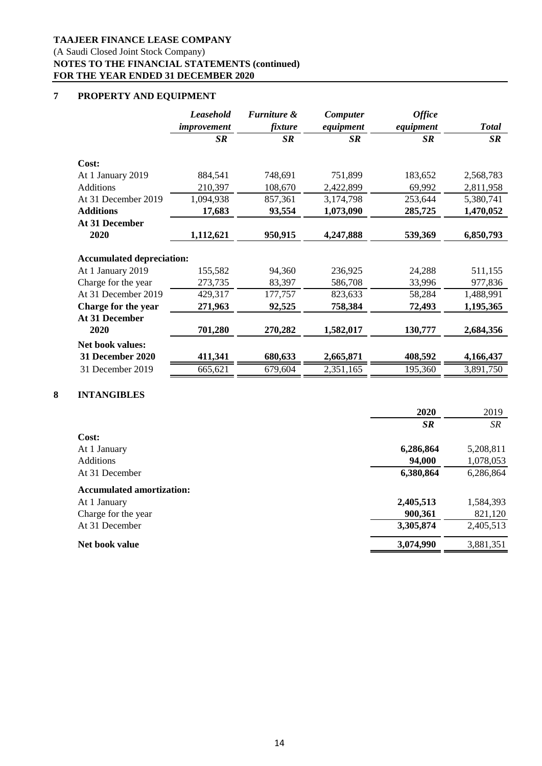## **TAAJEER FINANCE LEASE COMPANY**

(A Saudi Closed Joint Stock Company)

# **NOTES TO THE FINANCIAL STATEMENTS (continued) FOR THE YEAR ENDED 31 DECEMBER 2020**

# **7 PROPERTY AND EQUIPMENT**

|                                  | <b>Leasehold</b><br>improvement | <b>Furniture &amp;</b><br>fixture | <b>Computer</b><br>equipment | <b>Office</b><br>equipment | <b>Total</b> |
|----------------------------------|---------------------------------|-----------------------------------|------------------------------|----------------------------|--------------|
|                                  | <b>SR</b>                       | SR                                | <b>SR</b>                    | SR                         | SR           |
| Cost:                            |                                 |                                   |                              |                            |              |
| At 1 January 2019                | 884,541                         | 748,691                           | 751,899                      | 183,652                    | 2,568,783    |
| <b>Additions</b>                 | 210,397                         | 108,670                           | 2,422,899                    | 69,992                     | 2,811,958    |
| At 31 December 2019              | 1,094,938                       | 857,361                           | 3,174,798                    | 253,644                    | 5,380,741    |
| <b>Additions</b>                 | 17,683                          | 93,554                            | 1,073,090                    | 285,725                    | 1,470,052    |
| At 31 December                   |                                 |                                   |                              |                            |              |
| 2020                             | 1,112,621                       | 950,915                           | 4,247,888                    | 539,369                    | 6,850,793    |
|                                  |                                 |                                   |                              |                            |              |
| <b>Accumulated depreciation:</b> |                                 |                                   |                              |                            |              |
| At 1 January 2019                | 155,582                         | 94,360                            | 236,925                      | 24,288                     | 511,155      |
| Charge for the year              | 273,735                         | 83,397                            | 586,708                      | 33,996                     | 977,836      |
| At 31 December 2019              | 429,317                         | 177,757                           | 823,633                      | 58,284                     | 1,488,991    |
| Charge for the year              | 271,963                         | 92,525                            | 758,384                      | 72,493                     | 1,195,365    |
| At 31 December                   |                                 |                                   |                              |                            |              |
| 2020                             | 701,280                         | 270,282                           | 1,582,017                    | 130,777                    | 2,684,356    |
| <b>Net book values:</b>          |                                 |                                   |                              |                            |              |
| 31 December 2020                 | 411,341                         | 680,633                           | 2,665,871                    | 408,592                    | 4,166,437    |
| 31 December 2019                 | 665,621                         | 679,604                           | 2,351,165                    | 195,360                    | 3,891,750    |
|                                  |                                 |                                   |                              |                            |              |

# **8 INTANGIBLES**

|                                  | 2020      | 2019      |
|----------------------------------|-----------|-----------|
|                                  | <b>SR</b> | <b>SR</b> |
| Cost:                            |           |           |
| At 1 January                     | 6,286,864 | 5,208,811 |
| <b>Additions</b>                 | 94,000    | 1,078,053 |
| At 31 December                   | 6,380,864 | 6,286,864 |
| <b>Accumulated amortization:</b> |           |           |
| At 1 January                     | 2,405,513 | 1,584,393 |
| Charge for the year              | 900,361   | 821,120   |
| At 31 December                   | 3,305,874 | 2,405,513 |
| Net book value                   | 3,074,990 | 3,881,351 |
|                                  |           |           |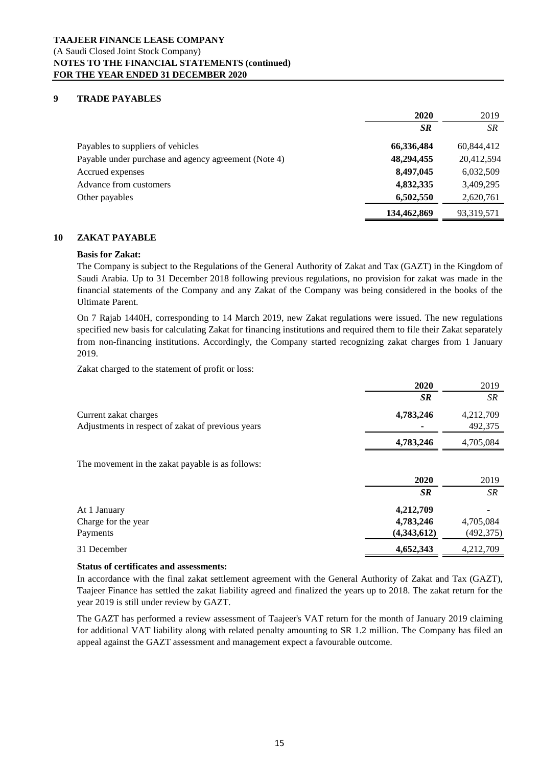## **9 TRADE PAYABLES**

|                                                      | 2020        | 2019       |
|------------------------------------------------------|-------------|------------|
|                                                      | <b>SR</b>   | <b>SR</b>  |
| Payables to suppliers of vehicles                    | 66,336,484  | 60,844,412 |
| Payable under purchase and agency agreement (Note 4) | 48,294,455  | 20,412,594 |
| Accrued expenses                                     | 8,497,045   | 6,032,509  |
| Advance from customers                               | 4,832,335   | 3,409,295  |
| Other payables                                       | 6,502,550   | 2,620,761  |
|                                                      | 134,462,869 | 93,319,571 |

## **10 ZAKAT PAYABLE**

## **Basis for Zakat:**

The Company is subject to the Regulations of the General Authority of Zakat and Tax (GAZT) in the Kingdom of Saudi Arabia. Up to 31 December 2018 following previous regulations, no provision for zakat was made in the financial statements of the Company and any Zakat of the Company was being considered in the books of the Ultimate Parent.

On 7 Rajab 1440H, corresponding to 14 March 2019, new Zakat regulations were issued. The new regulations specified new basis for calculating Zakat for financing institutions and required them to file their Zakat separately from non-financing institutions. Accordingly, the Company started recognizing zakat charges from 1 January 2019.

Zakat charged to the statement of profit or loss:

|                                                   | 2020        | 2019       |
|---------------------------------------------------|-------------|------------|
|                                                   | <b>SR</b>   | SR.        |
| Current zakat charges                             | 4,783,246   | 4,212,709  |
| Adjustments in respect of zakat of previous years |             | 492,375    |
|                                                   | 4,783,246   | 4,705,084  |
| The movement in the zakat payable is as follows:  |             |            |
|                                                   | 2020        | 2019       |
|                                                   | <b>SR</b>   | SR.        |
| At 1 January                                      | 4,212,709   |            |
| Charge for the year                               | 4,783,246   | 4,705,084  |
| Payments                                          | (4,343,612) | (492, 375) |
| 31 December                                       | 4,652,343   | 4,212,709  |

#### **Status of certificates and assessments:**

In accordance with the final zakat settlement agreement with the General Authority of Zakat and Tax (GAZT), Taajeer Finance has settled the zakat liability agreed and finalized the years up to 2018. The zakat return for the year 2019 is still under review by GAZT.

The GAZT has performed a review assessment of Taajeer's VAT return for the month of January 2019 claiming for additional VAT liability along with related penalty amounting to SR 1.2 million. The Company has filed an appeal against the GAZT assessment and management expect a favourable outcome.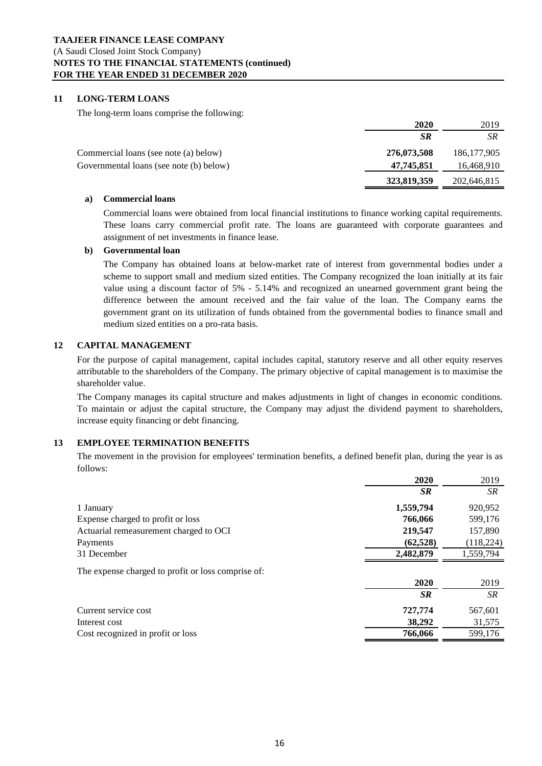## **TAAJEER FINANCE LEASE COMPANY** (A Saudi Closed Joint Stock Company) **NOTES TO THE FINANCIAL STATEMENTS (continued) FOR THE YEAR ENDED 31 DECEMBER 2020**

## **11 LONG-TERM LOANS**

The long-term loans comprise the following:

|                                         | 2020        | 2019          |
|-----------------------------------------|-------------|---------------|
|                                         | <b>SR</b>   | SR            |
| Commercial loans (see note (a) below)   | 276,073,508 | 186, 177, 905 |
| Governmental loans (see note (b) below) | 47,745,851  | 16,468,910    |
|                                         | 323,819,359 | 202,646,815   |

#### **a) Commercial loans**

Commercial loans were obtained from local financial institutions to finance working capital requirements. These loans carry commercial profit rate. The loans are guaranteed with corporate guarantees and assignment of net investments in finance lease.

#### **b) Governmental loan**

The Company has obtained loans at below-market rate of interest from governmental bodies under a scheme to support small and medium sized entities. The Company recognized the loan initially at its fair value using a discount factor of 5% - 5.14% and recognized an unearned government grant being the difference between the amount received and the fair value of the loan. The Company earns the government grant on its utilization of funds obtained from the governmental bodies to finance small and medium sized entities on a pro-rata basis.

## **12 CAPITAL MANAGEMENT**

For the purpose of capital management, capital includes capital, statutory reserve and all other equity reserves attributable to the shareholders of the Company. The primary objective of capital management is to maximise the shareholder value.

The Company manages its capital structure and makes adjustments in light of changes in economic conditions. To maintain or adjust the capital structure, the Company may adjust the dividend payment to shareholders, increase equity financing or debt financing.

## **13 EMPLOYEE TERMINATION BENEFITS**

The movement in the provision for employees' termination benefits, a defined benefit plan, during the year is as follows:

|                                                    | 2020      | 2019       |
|----------------------------------------------------|-----------|------------|
|                                                    | <b>SR</b> | SR         |
| 1 January                                          | 1,559,794 | 920,952    |
| Expense charged to profit or loss                  | 766,066   | 599,176    |
| Actuarial remeasurement charged to OCI             | 219,547   | 157,890    |
| Payments                                           | (62, 528) | (118, 224) |
| 31 December                                        | 2,482,879 | 1,559,794  |
| The expense charged to profit or loss comprise of: |           |            |
|                                                    | 2020      | 2019       |
|                                                    | <b>SR</b> | SR.        |
| Current service cost                               | 727,774   | 567,601    |
| Interest cost                                      | 38,292    | 31,575     |
| Cost recognized in profit or loss                  | 766,066   | 599,176    |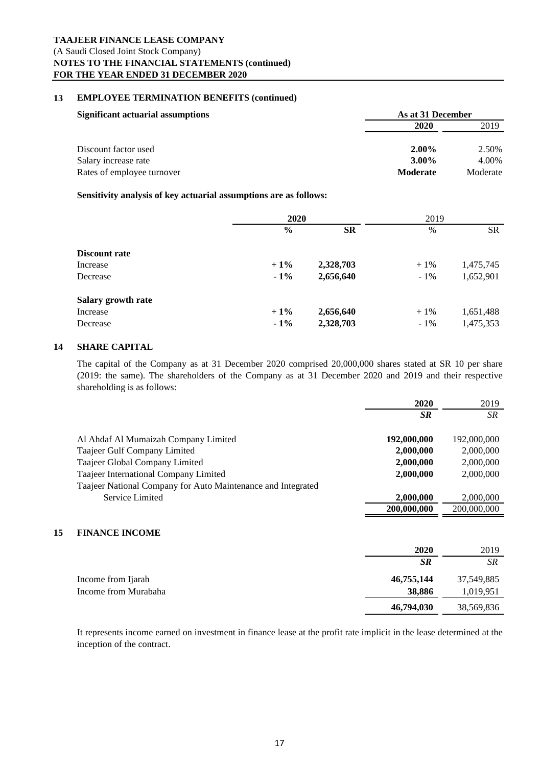#### **13 EMPLOYEE TERMINATION BENEFITS (continued)**

| <b>Significant actuarial assumptions</b>                                   | As at 31 December                       |                            |
|----------------------------------------------------------------------------|-----------------------------------------|----------------------------|
|                                                                            | 2020                                    | 2019                       |
| Discount factor used<br>Salary increase rate<br>Rates of employee turnover | $2.00\%$<br>$3.00\%$<br><b>Moderate</b> | 2.50%<br>4.00%<br>Moderate |

## **Sensitivity analysis of key actuarial assumptions are as follows:**

|                    | 2020          |           | 2019   |           |
|--------------------|---------------|-----------|--------|-----------|
|                    | $\frac{0}{0}$ | <b>SR</b> | $\%$   | <b>SR</b> |
| Discount rate      |               |           |        |           |
| Increase           | $+1\%$        | 2,328,703 | $+1\%$ | 1,475,745 |
| Decrease           | $-1\%$        | 2,656,640 | $-1\%$ | 1,652,901 |
| Salary growth rate |               |           |        |           |
| Increase           | $+1\%$        | 2,656,640 | $+1\%$ | 1,651,488 |
| Decrease           | $-1\%$        | 2,328,703 | $-1\%$ | 1,475,353 |

## **14 SHARE CAPITAL**

The capital of the Company as at 31 December 2020 comprised 20,000,000 shares stated at SR 10 per share (2019: the same). The shareholders of the Company as at 31 December 2020 and 2019 and their respective shareholding is as follows:

|                                                              | 2020        | 2019        |
|--------------------------------------------------------------|-------------|-------------|
|                                                              | <b>SR</b>   | SR.         |
| Al Ahdaf Al Mumaizah Company Limited                         | 192,000,000 | 192,000,000 |
| Taajeer Gulf Company Limited                                 | 2,000,000   | 2,000,000   |
| Taajeer Global Company Limited                               | 2,000,000   | 2,000,000   |
| Taajeer International Company Limited                        | 2,000,000   | 2,000,000   |
| Taajeer National Company for Auto Maintenance and Integrated |             |             |
| Service Limited                                              | 2,000,000   | 2,000,000   |
|                                                              | 200,000,000 | 200,000,000 |
|                                                              |             |             |
|                                                              |             |             |

# **15 FINANCE INCOME**

|                      | 2020       | 2019       |
|----------------------|------------|------------|
|                      | <b>SR</b>  | SR         |
| Income from Ijarah   | 46,755,144 | 37,549,885 |
| Income from Murabaha | 38,886     | 1,019,951  |
|                      | 46,794,030 | 38,569,836 |

It represents income earned on investment in finance lease at the profit rate implicit in the lease determined at the inception of the contract.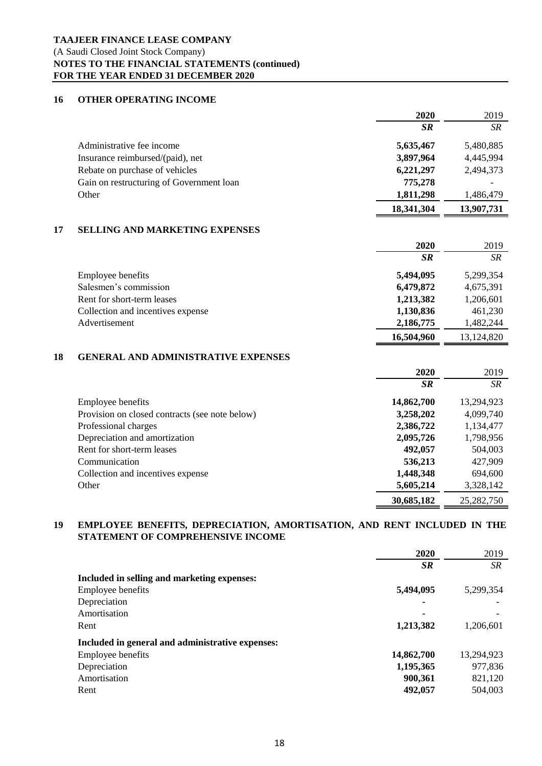# **TAAJEER FINANCE LEASE COMPANY** (A Saudi Closed Joint Stock Company) **NOTES TO THE FINANCIAL STATEMENTS (continued) FOR THE YEAR ENDED 31 DECEMBER 2020**

## **16 OTHER OPERATING INCOME**

|    |                                                | 2020       | 2019        |
|----|------------------------------------------------|------------|-------------|
|    |                                                | $S_{R}$    | <b>SR</b>   |
|    | Administrative fee income                      | 5,635,467  | 5,480,885   |
|    | Insurance reimbursed/(paid), net               | 3,897,964  | 4,445,994   |
|    | Rebate on purchase of vehicles                 | 6,221,297  | 2,494,373   |
|    | Gain on restructuring of Government loan       | 775,278    |             |
|    | Other                                          | 1,811,298  | 1,486,479   |
|    |                                                | 18,341,304 | 13,907,731  |
| 17 | <b>SELLING AND MARKETING EXPENSES</b>          |            |             |
|    |                                                | 2020       | 2019        |
|    |                                                | $S_{R}$    | ${\cal SR}$ |
|    | Employee benefits                              | 5,494,095  | 5,299,354   |
|    | Salesmen's commission                          | 6,479,872  | 4,675,391   |
|    | Rent for short-term leases                     | 1,213,382  | 1,206,601   |
|    | Collection and incentives expense              | 1,130,836  | 461,230     |
|    | Advertisement                                  | 2,186,775  | 1,482,244   |
|    |                                                | 16,504,960 | 13,124,820  |
| 18 | <b>GENERAL AND ADMINISTRATIVE EXPENSES</b>     |            |             |
|    |                                                | 2020       | 2019        |
|    |                                                | $S_{R}$    | <b>SR</b>   |
|    | Employee benefits                              | 14,862,700 | 13,294,923  |
|    | Provision on closed contracts (see note below) | 3,258,202  | 4,099,740   |
|    | Professional charges                           | 2,386,722  | 1,134,477   |
|    | Depreciation and amortization                  | 2,095,726  | 1,798,956   |
|    | Rent for short-term leases                     | 492,057    | 504,003     |
|    | Communication                                  | 536,213    | 427,909     |
|    | Collection and incentives expense              | 1,448,348  | 694,600     |
|    | Other                                          | 5,605,214  | 3,328,142   |
|    |                                                | 30,685,182 | 25,282,750  |

#### **19 EMPLOYEE BENEFITS, DEPRECIATION, AMORTISATION, AND RENT INCLUDED IN THE STATEMENT OF COMPREHENSIVE INCOME**

|                                                  | 2020       | 2019       |
|--------------------------------------------------|------------|------------|
|                                                  | <b>SR</b>  | <b>SR</b>  |
| Included in selling and marketing expenses:      |            |            |
| <b>Employee benefits</b>                         | 5,494,095  | 5,299,354  |
| Depreciation                                     |            |            |
| Amortisation                                     |            |            |
| Rent                                             | 1,213,382  | 1,206,601  |
| Included in general and administrative expenses: |            |            |
| Employee benefits                                | 14,862,700 | 13,294,923 |
| Depreciation                                     | 1,195,365  | 977,836    |
| Amortisation                                     | 900,361    | 821,120    |
| Rent                                             | 492,057    | 504,003    |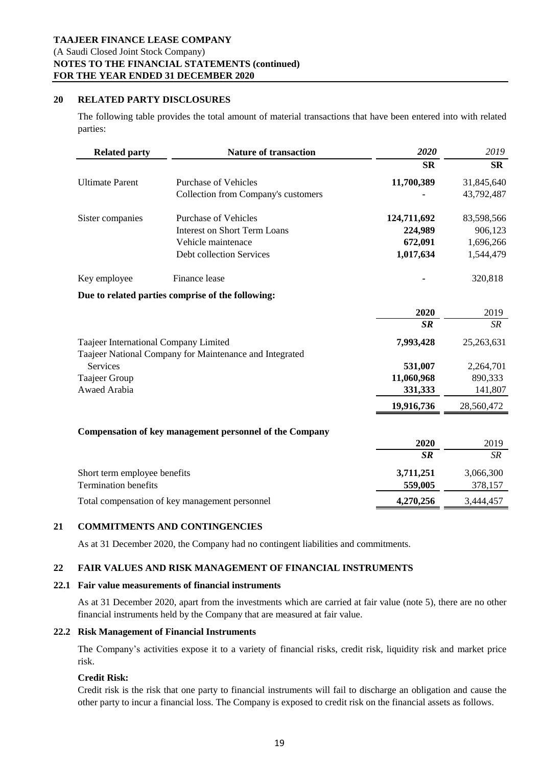## **20 RELATED PARTY DISCLOSURES**

The following table provides the total amount of material transactions that have been entered into with related parties:

| <b>Related party</b>                           | <b>Nature of transaction</b>                            | 2020        | 2019       |
|------------------------------------------------|---------------------------------------------------------|-------------|------------|
|                                                |                                                         | <b>SR</b>   | <b>SR</b>  |
| <b>Ultimate Parent</b>                         | Purchase of Vehicles                                    | 11,700,389  | 31,845,640 |
|                                                | Collection from Company's customers                     |             | 43,792,487 |
| Sister companies                               | <b>Purchase of Vehicles</b>                             | 124,711,692 | 83,598,566 |
|                                                | <b>Interest on Short Term Loans</b>                     | 224,989     | 906,123    |
|                                                | Vehicle maintenace                                      | 672,091     | 1,696,266  |
|                                                | Debt collection Services                                | 1,017,634   | 1,544,479  |
| Key employee                                   | Finance lease                                           |             | 320,818    |
|                                                | Due to related parties comprise of the following:       |             |            |
|                                                |                                                         | 2020        | 2019       |
|                                                |                                                         | SR          | SR         |
| Taajeer International Company Limited          | Taajeer National Company for Maintenance and Integrated | 7,993,428   | 25,263,631 |
| <b>Services</b>                                |                                                         | 531,007     | 2,264,701  |
| Taajeer Group                                  |                                                         | 11,060,968  | 890,333    |
| Awaed Arabia                                   |                                                         | 331,333     | 141,807    |
|                                                |                                                         | 19,916,736  | 28,560,472 |
|                                                | Compensation of key management personnel of the Company |             |            |
|                                                |                                                         | 2020        | 2019       |
|                                                |                                                         | $S_{R}$     | SR         |
| Short term employee benefits                   |                                                         | 3,711,251   | 3,066,300  |
| <b>Termination benefits</b>                    |                                                         | 559,005     | 378,157    |
| Total compensation of key management personnel |                                                         | 4,270,256   | 3,444,457  |

## **21 COMMITMENTS AND CONTINGENCIES**

As at 31 December 2020, the Company had no contingent liabilities and commitments.

## **22 FAIR VALUES AND RISK MANAGEMENT OF FINANCIAL INSTRUMENTS**

#### **22.1 Fair value measurements of financial instruments**

As at 31 December 2020, apart from the investments which are carried at fair value (note 5), there are no other financial instruments held by the Company that are measured at fair value.

## **22.2 Risk Management of Financial Instruments**

The Company's activities expose it to a variety of financial risks, credit risk, liquidity risk and market price risk.

#### **Credit Risk:**

Credit risk is the risk that one party to financial instruments will fail to discharge an obligation and cause the other party to incur a financial loss. The Company is exposed to credit risk on the financial assets as follows.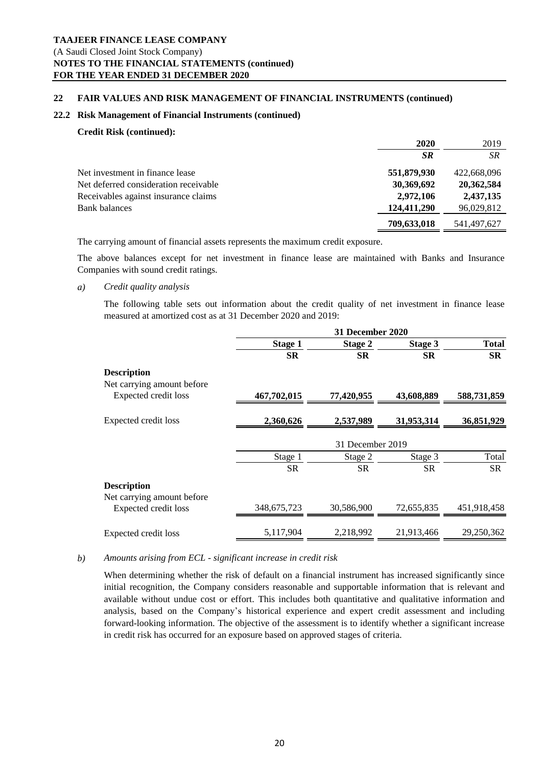#### **22 FAIR VALUES AND RISK MANAGEMENT OF FINANCIAL INSTRUMENTS (continued)**

## **22.2 Risk Management of Financial Instruments (continued)**

#### **Credit Risk (continued):**

|                                       | 2020        | 2019        |
|---------------------------------------|-------------|-------------|
|                                       | <b>SR</b>   | <b>SR</b>   |
| Net investment in finance lease       | 551,879,930 | 422,668,096 |
| Net deferred consideration receivable | 30,369,692  | 20,362,584  |
| Receivables against insurance claims  | 2,972,106   | 2,437,135   |
| <b>Bank balances</b>                  | 124,411,290 | 96,029,812  |
|                                       | 709,633,018 | 541,497,627 |

The carrying amount of financial assets represents the maximum credit exposure.

The above balances except for net investment in finance lease are maintained with Banks and Insurance Companies with sound credit ratings.

#### *a) Credit quality analysis*

The following table sets out information about the credit quality of net investment in finance lease measured at amortized cost as at 31 December 2020 and 2019:

|                                                  | <b>31 December 2020</b> |            |            |              |
|--------------------------------------------------|-------------------------|------------|------------|--------------|
|                                                  | <b>Stage 1</b>          | Stage 2    | Stage 3    | <b>Total</b> |
|                                                  | <b>SR</b>               | <b>SR</b>  | <b>SR</b>  | <b>SR</b>    |
| <b>Description</b>                               |                         |            |            |              |
| Net carrying amount before                       |                         |            |            |              |
| Expected credit loss                             | 467,702,015             | 77,420,955 | 43,608,889 | 588,731,859  |
| Expected credit loss                             | 2,360,626               | 2,537,989  | 31,953,314 | 36,851,929   |
|                                                  | 31 December 2019        |            |            |              |
|                                                  | Stage 1                 | Stage 2    | Stage 3    | Total        |
|                                                  | <b>SR</b>               | <b>SR</b>  | <b>SR</b>  | SR           |
| <b>Description</b><br>Net carrying amount before |                         |            |            |              |
| Expected credit loss                             | 348, 675, 723           | 30,586,900 | 72,655,835 | 451,918,458  |
| Expected credit loss                             | 5,117,904               | 2,218,992  | 21,913,466 | 29,250,362   |

#### *b) Amounts arising from ECL - significant increase in credit risk*

When determining whether the risk of default on a financial instrument has increased significantly since initial recognition, the Company considers reasonable and supportable information that is relevant and available without undue cost or effort. This includes both quantitative and qualitative information and analysis, based on the Company's historical experience and expert credit assessment and including forward-looking information. The objective of the assessment is to identify whether a significant increase in credit risk has occurred for an exposure based on approved stages of criteria.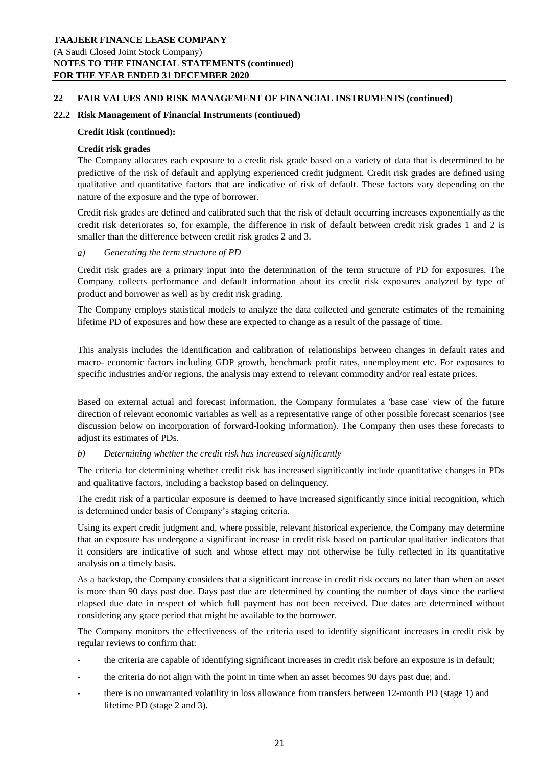## **22 FAIR VALUES AND RISK MANAGEMENT OF FINANCIAL INSTRUMENTS (continued)**

#### **22.2 Risk Management of Financial Instruments (continued)**

#### **Credit Risk (continued):**

#### **Credit risk grades**

The Company allocates each exposure to a credit risk grade based on a variety of data that is determined to be predictive of the risk of default and applying experienced credit judgment. Credit risk grades are defined using qualitative and quantitative factors that are indicative of risk of default. These factors vary depending on the nature of the exposure and the type of borrower.

Credit risk grades are defined and calibrated such that the risk of default occurring increases exponentially as the credit risk deteriorates so, for example, the difference in risk of default between credit risk grades 1 and 2 is smaller than the difference between credit risk grades 2 and 3.

## *a) Generating the term structure of PD*

Credit risk grades are a primary input into the determination of the term structure of PD for exposures. The Company collects performance and default information about its credit risk exposures analyzed by type of product and borrower as well as by credit risk grading.

The Company employs statistical models to analyze the data collected and generate estimates of the remaining lifetime PD of exposures and how these are expected to change as a result of the passage of time.

This analysis includes the identification and calibration of relationships between changes in default rates and macro- economic factors including GDP growth, benchmark profit rates, unemployment etc. For exposures to specific industries and/or regions, the analysis may extend to relevant commodity and/or real estate prices.

Based on external actual and forecast information, the Company formulates a 'base case' view of the future direction of relevant economic variables as well as a representative range of other possible forecast scenarios (see discussion below on incorporation of forward-looking information). The Company then uses these forecasts to adjust its estimates of PDs.

## *b) Determining whether the credit risk has increased significantly*

The criteria for determining whether credit risk has increased significantly include quantitative changes in PDs and qualitative factors, including a backstop based on delinquency.

The credit risk of a particular exposure is deemed to have increased significantly since initial recognition, which is determined under basis of Company's staging criteria.

Using its expert credit judgment and, where possible, relevant historical experience, the Company may determine that an exposure has undergone a significant increase in credit risk based on particular qualitative indicators that it considers are indicative of such and whose effect may not otherwise be fully reflected in its quantitative analysis on a timely basis.

As a backstop, the Company considers that a significant increase in credit risk occurs no later than when an asset is more than 90 days past due. Days past due are determined by counting the number of days since the earliest elapsed due date in respect of which full payment has not been received. Due dates are determined without considering any grace period that might be available to the borrower.

The Company monitors the effectiveness of the criteria used to identify significant increases in credit risk by regular reviews to confirm that:

- the criteria are capable of identifying significant increases in credit risk before an exposure is in default;
- the criteria do not align with the point in time when an asset becomes 90 days past due; and.
- there is no unwarranted volatility in loss allowance from transfers between 12-month PD (stage 1) and lifetime PD (stage 2 and 3).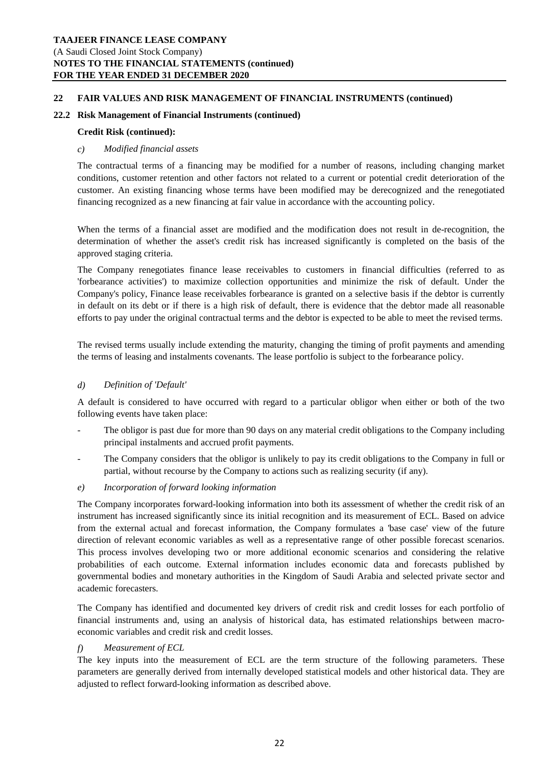#### **22 FAIR VALUES AND RISK MANAGEMENT OF FINANCIAL INSTRUMENTS (continued)**

## **22.2 Risk Management of Financial Instruments (continued)**

#### **Credit Risk (continued):**

## *c) Modified financial assets*

The contractual terms of a financing may be modified for a number of reasons, including changing market conditions, customer retention and other factors not related to a current or potential credit deterioration of the customer. An existing financing whose terms have been modified may be derecognized and the renegotiated financing recognized as a new financing at fair value in accordance with the accounting policy.

When the terms of a financial asset are modified and the modification does not result in de-recognition, the determination of whether the asset's credit risk has increased significantly is completed on the basis of the approved staging criteria.

The Company renegotiates finance lease receivables to customers in financial difficulties (referred to as 'forbearance activities') to maximize collection opportunities and minimize the risk of default. Under the Company's policy, Finance lease receivables forbearance is granted on a selective basis if the debtor is currently in default on its debt or if there is a high risk of default, there is evidence that the debtor made all reasonable efforts to pay under the original contractual terms and the debtor is expected to be able to meet the revised terms.

The revised terms usually include extending the maturity, changing the timing of profit payments and amending the terms of leasing and instalments covenants. The lease portfolio is subject to the forbearance policy.

## *d) Definition of 'Default'*

A default is considered to have occurred with regard to a particular obligor when either or both of the two following events have taken place:

- *-* The obligor is past due for more than 90 days on any material credit obligations to the Company including principal instalments and accrued profit payments.
- *-* The Company considers that the obligor is unlikely to pay its credit obligations to the Company in full or partial, without recourse by the Company to actions such as realizing security (if any).
- *e) Incorporation of forward looking information*

The Company incorporates forward-looking information into both its assessment of whether the credit risk of an instrument has increased significantly since its initial recognition and its measurement of ECL. Based on advice from the external actual and forecast information, the Company formulates a 'base case' view of the future direction of relevant economic variables as well as a representative range of other possible forecast scenarios. This process involves developing two or more additional economic scenarios and considering the relative probabilities of each outcome. External information includes economic data and forecasts published by governmental bodies and monetary authorities in the Kingdom of Saudi Arabia and selected private sector and academic forecasters.

The Company has identified and documented key drivers of credit risk and credit losses for each portfolio of financial instruments and, using an analysis of historical data, has estimated relationships between macroeconomic variables and credit risk and credit losses.

## *f) Measurement of ECL*

The key inputs into the measurement of ECL are the term structure of the following parameters. These parameters are generally derived from internally developed statistical models and other historical data. They are adjusted to reflect forward-looking information as described above.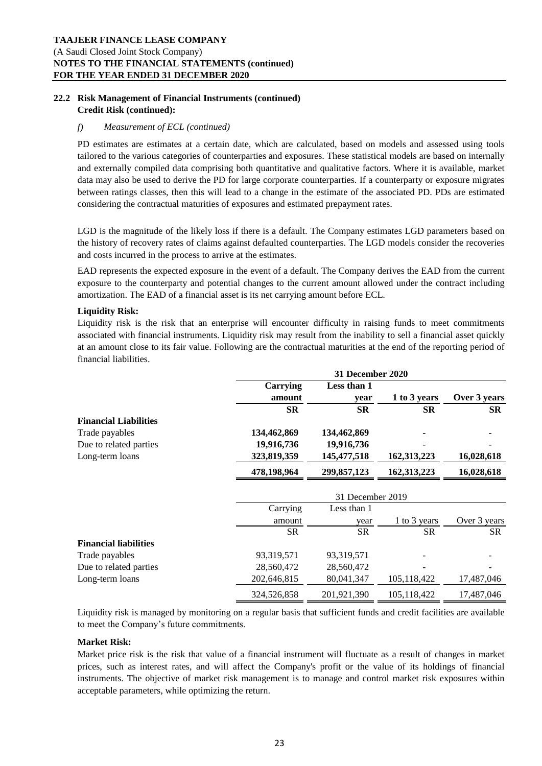# **22.2 Risk Management of Financial Instruments (continued) Credit Risk (continued):**

## *f) Measurement of ECL (continued)*

PD estimates are estimates at a certain date, which are calculated, based on models and assessed using tools tailored to the various categories of counterparties and exposures. These statistical models are based on internally and externally compiled data comprising both quantitative and qualitative factors. Where it is available, market data may also be used to derive the PD for large corporate counterparties. If a counterparty or exposure migrates between ratings classes, then this will lead to a change in the estimate of the associated PD. PDs are estimated considering the contractual maturities of exposures and estimated prepayment rates.

LGD is the magnitude of the likely loss if there is a default. The Company estimates LGD parameters based on the history of recovery rates of claims against defaulted counterparties. The LGD models consider the recoveries and costs incurred in the process to arrive at the estimates.

EAD represents the expected exposure in the event of a default. The Company derives the EAD from the current exposure to the counterparty and potential changes to the current amount allowed under the contract including amortization. The EAD of a financial asset is its net carrying amount before ECL.

## **Liquidity Risk:**

Liquidity risk is the risk that an enterprise will encounter difficulty in raising funds to meet commitments associated with financial instruments. Liquidity risk may result from the inability to sell a financial asset quickly at an amount close to its fair value. Following are the contractual maturities at the end of the reporting period of financial liabilities.

|                              | 31 December 2020 |               |               |              |
|------------------------------|------------------|---------------|---------------|--------------|
|                              | <b>Carrying</b>  | Less than 1   |               |              |
|                              | amount           | year          | 1 to 3 years  | Over 3 years |
|                              | <b>SR</b>        | <b>SR</b>     | <b>SR</b>     | <b>SR</b>    |
| <b>Financial Liabilities</b> |                  |               |               |              |
| Trade payables               | 134,462,869      | 134,462,869   |               |              |
| Due to related parties       | 19,916,736       | 19,916,736    |               |              |
| Long-term loans              | 323,819,359      | 145, 477, 518 | 162, 313, 223 | 16,028,618   |
|                              | 478,198,964      | 299,857,123   | 162,313,223   | 16,028,618   |
|                              | 31 December 2019 |               |               |              |
|                              | Carrying         | Less than 1   |               |              |
|                              | amount           | year          | 1 to 3 years  | Over 3 years |
|                              | <b>SR</b>        | <b>SR</b>     | <b>SR</b>     | SR           |
| <b>Financial liabilities</b> |                  |               |               |              |
| Trade payables               | 93,319,571       | 93,319,571    |               |              |
| Due to related parties       | 28,560,472       | 28,560,472    |               |              |
| Long-term loans              | 202,646,815      | 80,041,347    | 105,118,422   | 17,487,046   |
|                              | 324,526,858      | 201,921,390   | 105,118,422   | 17,487,046   |

Liquidity risk is managed by monitoring on a regular basis that sufficient funds and credit facilities are available to meet the Company's future commitments.

## **Market Risk:**

Market price risk is the risk that value of a financial instrument will fluctuate as a result of changes in market prices, such as interest rates, and will affect the Company's profit or the value of its holdings of financial instruments. The objective of market risk management is to manage and control market risk exposures within acceptable parameters, while optimizing the return.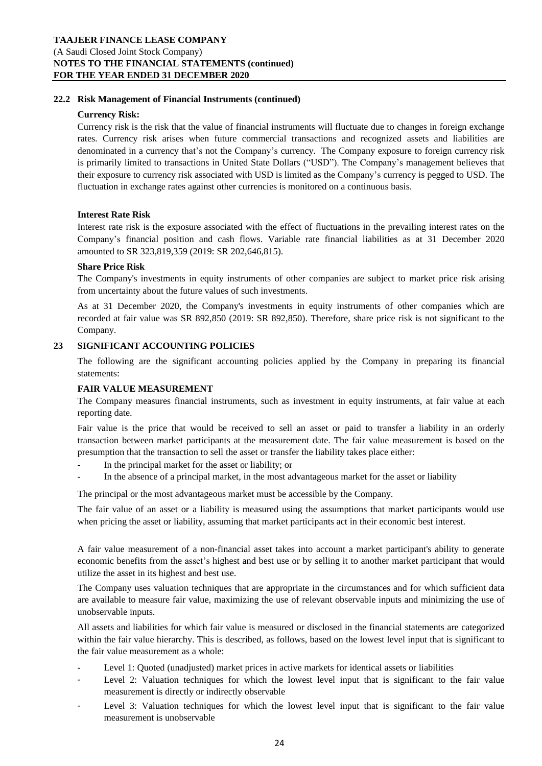## **22.2 Risk Management of Financial Instruments (continued)**

#### **Currency Risk:**

Currency risk is the risk that the value of financial instruments will fluctuate due to changes in foreign exchange rates. Currency risk arises when future commercial transactions and recognized assets and liabilities are denominated in a currency that's not the Company's currency. The Company exposure to foreign currency risk is primarily limited to transactions in United State Dollars ("USD"). The Company's management believes that their exposure to currency risk associated with USD is limited as the Company's currency is pegged to USD. The fluctuation in exchange rates against other currencies is monitored on a continuous basis.

## **Interest Rate Risk**

Interest rate risk is the exposure associated with the effect of fluctuations in the prevailing interest rates on the Company's financial position and cash flows. Variable rate financial liabilities as at 31 December 2020 amounted to SR 323,819,359 (2019: SR 202,646,815).

## **Share Price Risk**

The Company's investments in equity instruments of other companies are subject to market price risk arising from uncertainty about the future values of such investments.

As at 31 December 2020, the Company's investments in equity instruments of other companies which are recorded at fair value was SR 892,850 (2019: SR 892,850). Therefore, share price risk is not significant to the Company.

## **23 SIGNIFICANT ACCOUNTING POLICIES**

The following are the significant accounting policies applied by the Company in preparing its financial statements:

#### **FAIR VALUE MEASUREMENT**

The Company measures financial instruments, such as investment in equity instruments, at fair value at each reporting date.

Fair value is the price that would be received to sell an asset or paid to transfer a liability in an orderly transaction between market participants at the measurement date. The fair value measurement is based on the presumption that the transaction to sell the asset or transfer the liability takes place either:

- **-** In the principal market for the asset or liability; or
- **-** In the absence of a principal market, in the most advantageous market for the asset or liability

The principal or the most advantageous market must be accessible by the Company.

The fair value of an asset or a liability is measured using the assumptions that market participants would use when pricing the asset or liability, assuming that market participants act in their economic best interest.

A fair value measurement of a non-financial asset takes into account a market participant's ability to generate economic benefits from the asset's highest and best use or by selling it to another market participant that would utilize the asset in its highest and best use.

The Company uses valuation techniques that are appropriate in the circumstances and for which sufficient data are available to measure fair value, maximizing the use of relevant observable inputs and minimizing the use of unobservable inputs.

All assets and liabilities for which fair value is measured or disclosed in the financial statements are categorized within the fair value hierarchy. This is described, as follows, based on the lowest level input that is significant to the fair value measurement as a whole:

- **-** Level 1: Quoted (unadjusted) market prices in active markets for identical assets or liabilities
- **-** Level 2: Valuation techniques for which the lowest level input that is significant to the fair value measurement is directly or indirectly observable
- **-** Level 3: Valuation techniques for which the lowest level input that is significant to the fair value measurement is unobservable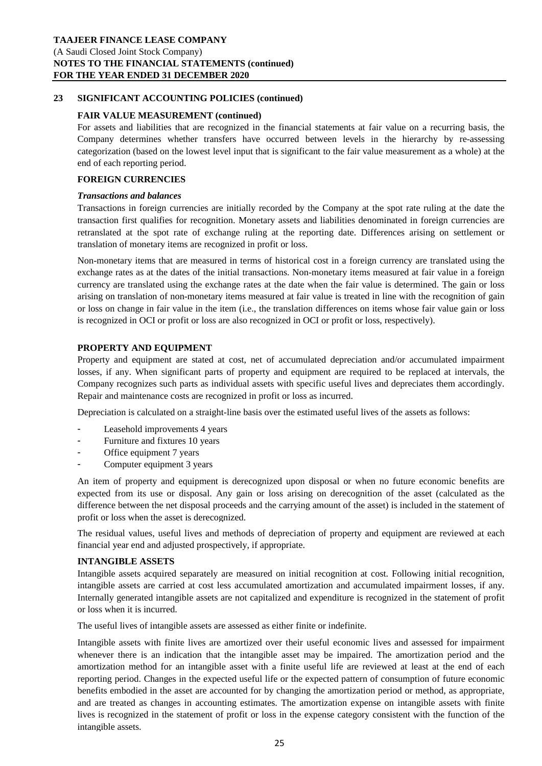#### **FAIR VALUE MEASUREMENT (continued)**

For assets and liabilities that are recognized in the financial statements at fair value on a recurring basis, the Company determines whether transfers have occurred between levels in the hierarchy by re-assessing categorization (based on the lowest level input that is significant to the fair value measurement as a whole) at the end of each reporting period.

#### **FOREIGN CURRENCIES**

#### *Transactions and balances*

Transactions in foreign currencies are initially recorded by the Company at the spot rate ruling at the date the transaction first qualifies for recognition. Monetary assets and liabilities denominated in foreign currencies are retranslated at the spot rate of exchange ruling at the reporting date. Differences arising on settlement or translation of monetary items are recognized in profit or loss.

Non-monetary items that are measured in terms of historical cost in a foreign currency are translated using the exchange rates as at the dates of the initial transactions. Non-monetary items measured at fair value in a foreign currency are translated using the exchange rates at the date when the fair value is determined. The gain or loss arising on translation of non-monetary items measured at fair value is treated in line with the recognition of gain or loss on change in fair value in the item (i.e., the translation differences on items whose fair value gain or loss is recognized in OCI or profit or loss are also recognized in OCI or profit or loss, respectively).

## **PROPERTY AND EQUIPMENT**

Property and equipment are stated at cost, net of accumulated depreciation and/or accumulated impairment losses, if any. When significant parts of property and equipment are required to be replaced at intervals, the Company recognizes such parts as individual assets with specific useful lives and depreciates them accordingly. Repair and maintenance costs are recognized in profit or loss as incurred.

Depreciation is calculated on a straight-line basis over the estimated useful lives of the assets as follows:

- **-** Leasehold improvements 4 years
- **-** Furniture and fixtures 10 years
- **-** Office equipment 7 years
- **-** Computer equipment 3 years

An item of property and equipment is derecognized upon disposal or when no future economic benefits are expected from its use or disposal. Any gain or loss arising on derecognition of the asset (calculated as the difference between the net disposal proceeds and the carrying amount of the asset) is included in the statement of profit or loss when the asset is derecognized.

The residual values, useful lives and methods of depreciation of property and equipment are reviewed at each financial year end and adjusted prospectively, if appropriate.

#### **INTANGIBLE ASSETS**

Intangible assets acquired separately are measured on initial recognition at cost. Following initial recognition, intangible assets are carried at cost less accumulated amortization and accumulated impairment losses, if any. Internally generated intangible assets are not capitalized and expenditure is recognized in the statement of profit or loss when it is incurred.

The useful lives of intangible assets are assessed as either finite or indefinite.

Intangible assets with finite lives are amortized over their useful economic lives and assessed for impairment whenever there is an indication that the intangible asset may be impaired. The amortization period and the amortization method for an intangible asset with a finite useful life are reviewed at least at the end of each reporting period. Changes in the expected useful life or the expected pattern of consumption of future economic benefits embodied in the asset are accounted for by changing the amortization period or method, as appropriate, and are treated as changes in accounting estimates. The amortization expense on intangible assets with finite lives is recognized in the statement of profit or loss in the expense category consistent with the function of the intangible assets.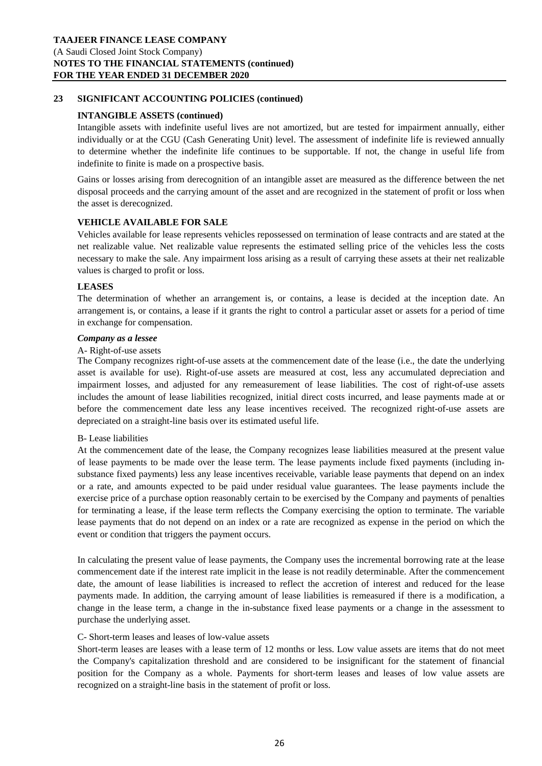## **INTANGIBLE ASSETS (continued)**

Intangible assets with indefinite useful lives are not amortized, but are tested for impairment annually, either individually or at the CGU (Cash Generating Unit) level. The assessment of indefinite life is reviewed annually to determine whether the indefinite life continues to be supportable. If not, the change in useful life from indefinite to finite is made on a prospective basis.

Gains or losses arising from derecognition of an intangible asset are measured as the difference between the net disposal proceeds and the carrying amount of the asset and are recognized in the statement of profit or loss when the asset is derecognized.

## **VEHICLE AVAILABLE FOR SALE**

Vehicles available for lease represents vehicles repossessed on termination of lease contracts and are stated at the net realizable value. Net realizable value represents the estimated selling price of the vehicles less the costs necessary to make the sale. Any impairment loss arising as a result of carrying these assets at their net realizable values is charged to profit or loss.

## **LEASES**

The determination of whether an arrangement is, or contains, a lease is decided at the inception date. An arrangement is, or contains, a lease if it grants the right to control a particular asset or assets for a period of time in exchange for compensation.

#### *Company as a lessee*

#### A- Right-of-use assets

The Company recognizes right-of-use assets at the commencement date of the lease (i.e., the date the underlying asset is available for use). Right-of-use assets are measured at cost, less any accumulated depreciation and impairment losses, and adjusted for any remeasurement of lease liabilities. The cost of right-of-use assets includes the amount of lease liabilities recognized, initial direct costs incurred, and lease payments made at or before the commencement date less any lease incentives received. The recognized right-of-use assets are depreciated on a straight-line basis over its estimated useful life.

#### B- Lease liabilities

At the commencement date of the lease, the Company recognizes lease liabilities measured at the present value of lease payments to be made over the lease term. The lease payments include fixed payments (including insubstance fixed payments) less any lease incentives receivable, variable lease payments that depend on an index or a rate, and amounts expected to be paid under residual value guarantees. The lease payments include the exercise price of a purchase option reasonably certain to be exercised by the Company and payments of penalties for terminating a lease, if the lease term reflects the Company exercising the option to terminate. The variable lease payments that do not depend on an index or a rate are recognized as expense in the period on which the event or condition that triggers the payment occurs.

In calculating the present value of lease payments, the Company uses the incremental borrowing rate at the lease commencement date if the interest rate implicit in the lease is not readily determinable. After the commencement date, the amount of lease liabilities is increased to reflect the accretion of interest and reduced for the lease payments made. In addition, the carrying amount of lease liabilities is remeasured if there is a modification, a change in the lease term, a change in the in-substance fixed lease payments or a change in the assessment to purchase the underlying asset.

#### C- Short-term leases and leases of low-value assets

Short-term leases are leases with a lease term of 12 months or less. Low value assets are items that do not meet the Company's capitalization threshold and are considered to be insignificant for the statement of financial position for the Company as a whole. Payments for short-term leases and leases of low value assets are recognized on a straight-line basis in the statement of profit or loss.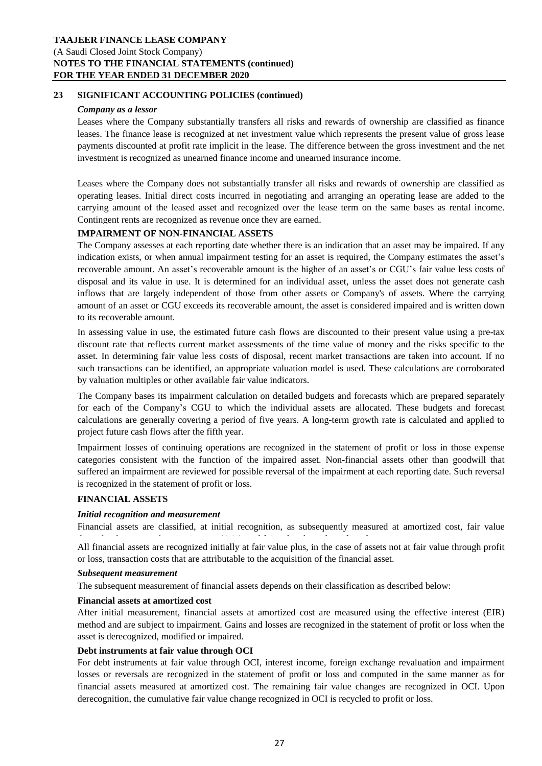#### *Company as a lessor*

Leases where the Company substantially transfers all risks and rewards of ownership are classified as finance leases. The finance lease is recognized at net investment value which represents the present value of gross lease payments discounted at profit rate implicit in the lease. The difference between the gross investment and the net investment is recognized as unearned finance income and unearned insurance income.

Leases where the Company does not substantially transfer all risks and rewards of ownership are classified as operating leases. Initial direct costs incurred in negotiating and arranging an operating lease are added to the carrying amount of the leased asset and recognized over the lease term on the same bases as rental income. Contingent rents are recognized as revenue once they are earned.

#### **IMPAIRMENT OF NON-FINANCIAL ASSETS**

The Company assesses at each reporting date whether there is an indication that an asset may be impaired. If any indication exists, or when annual impairment testing for an asset is required, the Company estimates the asset's recoverable amount. An asset's recoverable amount is the higher of an asset's or CGU's fair value less costs of disposal and its value in use. It is determined for an individual asset, unless the asset does not generate cash inflows that are largely independent of those from other assets or Company's of assets. Where the carrying amount of an asset or CGU exceeds its recoverable amount, the asset is considered impaired and is written down to its recoverable amount.

In assessing value in use, the estimated future cash flows are discounted to their present value using a pre-tax discount rate that reflects current market assessments of the time value of money and the risks specific to the asset. In determining fair value less costs of disposal, recent market transactions are taken into account. If no such transactions can be identified, an appropriate valuation model is used. These calculations are corroborated by valuation multiples or other available fair value indicators.

The Company bases its impairment calculation on detailed budgets and forecasts which are prepared separately for each of the Company's CGU to which the individual assets are allocated. These budgets and forecast calculations are generally covering a period of five years. A long-term growth rate is calculated and applied to project future cash flows after the fifth year.

Impairment losses of continuing operations are recognized in the statement of profit or loss in those expense categories consistent with the function of the impaired asset. Non-financial assets other than goodwill that suffered an impairment are reviewed for possible reversal of the impairment at each reporting date. Such reversal is recognized in the statement of profit or loss.

#### **FINANCIAL ASSETS**

#### *Initial recognition and measurement*

Financial assets are classified, at initial recognition, as subsequently measured at amortized cost, fair value

All financial assets are recognized initially at fair value plus, in the case of assets not at fair value through profit or loss, transaction costs that are attributable to the acquisition of the financial asset. through other comprehensive income (OCI), and fair value through profit or loss.

#### *Subsequent measurement*

The subsequent measurement of financial assets depends on their classification as described below:

#### **Financial assets at amortized cost**

After initial measurement, financial assets at amortized cost are measured using the effective interest (EIR) method and are subject to impairment. Gains and losses are recognized in the statement of profit or loss when the asset is derecognized, modified or impaired.

#### **Debt instruments at fair value through OCI**

For debt instruments at fair value through OCI, interest income, foreign exchange revaluation and impairment losses or reversals are recognized in the statement of profit or loss and computed in the same manner as for financial assets measured at amortized cost. The remaining fair value changes are recognized in OCI. Upon derecognition, the cumulative fair value change recognized in OCI is recycled to profit or loss.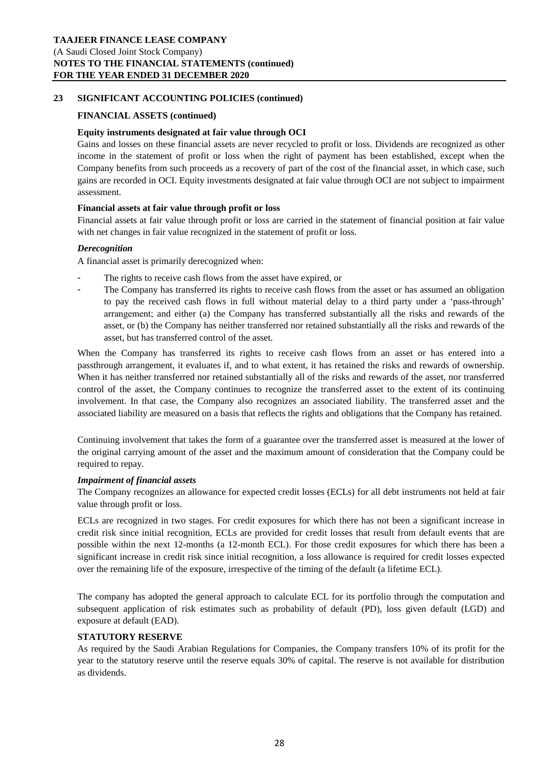## **FINANCIAL ASSETS (continued)**

#### **Equity instruments designated at fair value through OCI**

Gains and losses on these financial assets are never recycled to profit or loss. Dividends are recognized as other income in the statement of profit or loss when the right of payment has been established, except when the Company benefits from such proceeds as a recovery of part of the cost of the financial asset, in which case, such gains are recorded in OCI. Equity investments designated at fair value through OCI are not subject to impairment assessment.

#### **Financial assets at fair value through profit or loss**

Financial assets at fair value through profit or loss are carried in the statement of financial position at fair value with net changes in fair value recognized in the statement of profit or loss.

## *Derecognition*

A financial asset is primarily derecognized when:

- **-** The rights to receive cash flows from the asset have expired, or
- **-** The Company has transferred its rights to receive cash flows from the asset or has assumed an obligation to pay the received cash flows in full without material delay to a third party under a 'pass-through' arrangement; and either (a) the Company has transferred substantially all the risks and rewards of the asset, or (b) the Company has neither transferred nor retained substantially all the risks and rewards of the asset, but has transferred control of the asset.

When the Company has transferred its rights to receive cash flows from an asset or has entered into a passthrough arrangement, it evaluates if, and to what extent, it has retained the risks and rewards of ownership. When it has neither transferred nor retained substantially all of the risks and rewards of the asset, nor transferred control of the asset, the Company continues to recognize the transferred asset to the extent of its continuing involvement. In that case, the Company also recognizes an associated liability. The transferred asset and the associated liability are measured on a basis that reflects the rights and obligations that the Company has retained.

Continuing involvement that takes the form of a guarantee over the transferred asset is measured at the lower of the original carrying amount of the asset and the maximum amount of consideration that the Company could be required to repay.

#### *Impairment of financial assets*

The Company recognizes an allowance for expected credit losses (ECLs) for all debt instruments not held at fair value through profit or loss.

ECLs are recognized in two stages. For credit exposures for which there has not been a significant increase in credit risk since initial recognition, ECLs are provided for credit losses that result from default events that are possible within the next 12-months (a 12-month ECL). For those credit exposures for which there has been a significant increase in credit risk since initial recognition, a loss allowance is required for credit losses expected over the remaining life of the exposure, irrespective of the timing of the default (a lifetime ECL).

The company has adopted the general approach to calculate ECL for its portfolio through the computation and subsequent application of risk estimates such as probability of default (PD), loss given default (LGD) and exposure at default (EAD).

#### **STATUTORY RESERVE**

As required by the Saudi Arabian Regulations for Companies, the Company transfers 10% of its profit for the year to the statutory reserve until the reserve equals 30% of capital. The reserve is not available for distribution as dividends.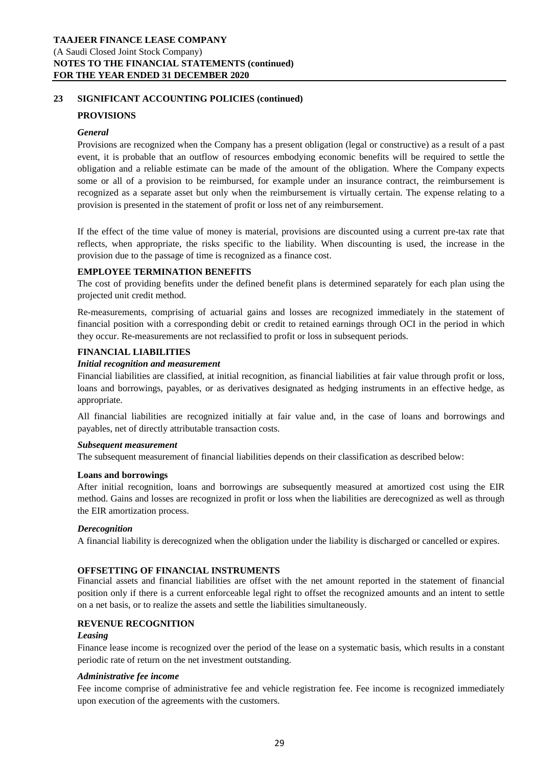## **PROVISIONS**

#### *General*

Provisions are recognized when the Company has a present obligation (legal or constructive) as a result of a past event, it is probable that an outflow of resources embodying economic benefits will be required to settle the obligation and a reliable estimate can be made of the amount of the obligation. Where the Company expects some or all of a provision to be reimbursed, for example under an insurance contract, the reimbursement is recognized as a separate asset but only when the reimbursement is virtually certain. The expense relating to a provision is presented in the statement of profit or loss net of any reimbursement.

If the effect of the time value of money is material, provisions are discounted using a current pre-tax rate that reflects, when appropriate, the risks specific to the liability. When discounting is used, the increase in the provision due to the passage of time is recognized as a finance cost.

## **EMPLOYEE TERMINATION BENEFITS**

The cost of providing benefits under the defined benefit plans is determined separately for each plan using the projected unit credit method.

Re-measurements, comprising of actuarial gains and losses are recognized immediately in the statement of financial position with a corresponding debit or credit to retained earnings through OCI in the period in which they occur. Re-measurements are not reclassified to profit or loss in subsequent periods.

## **FINANCIAL LIABILITIES**

#### *Initial recognition and measurement*

Financial liabilities are classified, at initial recognition, as financial liabilities at fair value through profit or loss, loans and borrowings, payables, or as derivatives designated as hedging instruments in an effective hedge, as appropriate.

All financial liabilities are recognized initially at fair value and, in the case of loans and borrowings and payables, net of directly attributable transaction costs.

#### *Subsequent measurement*

The subsequent measurement of financial liabilities depends on their classification as described below:

#### **Loans and borrowings**

After initial recognition, loans and borrowings are subsequently measured at amortized cost using the EIR method. Gains and losses are recognized in profit or loss when the liabilities are derecognized as well as through the EIR amortization process.

#### *Derecognition*

A financial liability is derecognized when the obligation under the liability is discharged or cancelled or expires.

#### **OFFSETTING OF FINANCIAL INSTRUMENTS**

Financial assets and financial liabilities are offset with the net amount reported in the statement of financial position only if there is a current enforceable legal right to offset the recognized amounts and an intent to settle on a net basis, or to realize the assets and settle the liabilities simultaneously.

## **REVENUE RECOGNITION**

#### *Leasing*

Finance lease income is recognized over the period of the lease on a systematic basis, which results in a constant periodic rate of return on the net investment outstanding.

#### *Administrative fee income*

Fee income comprise of administrative fee and vehicle registration fee. Fee income is recognized immediately upon execution of the agreements with the customers.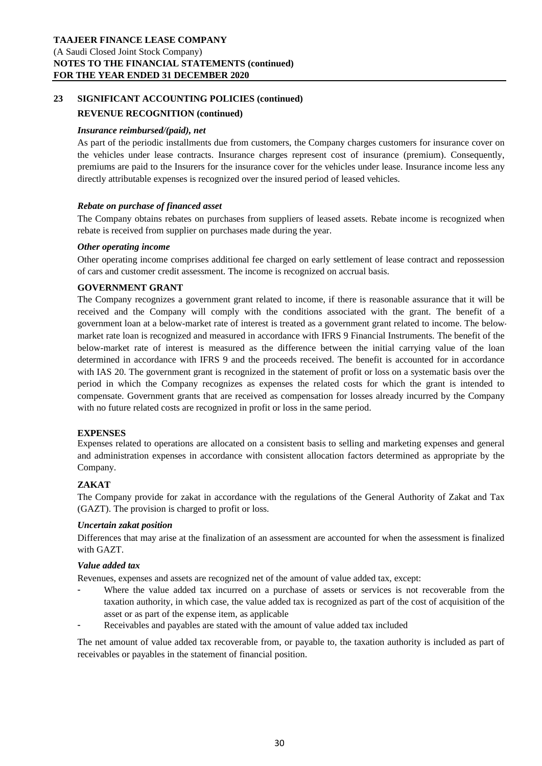## **REVENUE RECOGNITION (continued)**

#### *Insurance reimbursed/(paid), net*

As part of the periodic installments due from customers, the Company charges customers for insurance cover on the vehicles under lease contracts. Insurance charges represent cost of insurance (premium). Consequently, premiums are paid to the Insurers for the insurance cover for the vehicles under lease. Insurance income less any directly attributable expenses is recognized over the insured period of leased vehicles.

## *Rebate on purchase of financed asset*

The Company obtains rebates on purchases from suppliers of leased assets. Rebate income is recognized when rebate is received from supplier on purchases made during the year.

#### *Other operating income*

Other operating income comprises additional fee charged on early settlement of lease contract and repossession of cars and customer credit assessment. The income is recognized on accrual basis.

## **GOVERNMENT GRANT**

The Company recognizes a government grant related to income, if there is reasonable assurance that it will be received and the Company will comply with the conditions associated with the grant. The benefit of a government loan at a below-market rate of interest is treated as a government grant related to income. The belowmarket rate loan is recognized and measured in accordance with IFRS 9 Financial Instruments. The benefit of the below-market rate of interest is measured as the difference between the initial carrying value of the loan determined in accordance with IFRS 9 and the proceeds received. The benefit is accounted for in accordance with IAS 20. The government grant is recognized in the statement of profit or loss on a systematic basis over the period in which the Company recognizes as expenses the related costs for which the grant is intended to compensate. Government grants that are received as compensation for losses already incurred by the Company with no future related costs are recognized in profit or loss in the same period.

## **EXPENSES**

Expenses related to operations are allocated on a consistent basis to selling and marketing expenses and general and administration expenses in accordance with consistent allocation factors determined as appropriate by the Company.

## **ZAKAT**

The Company provide for zakat in accordance with the regulations of the General Authority of Zakat and Tax (GAZT). The provision is charged to profit or loss.

#### *Uncertain zakat position*

Differences that may arise at the finalization of an assessment are accounted for when the assessment is finalized with GAZT.

## *Value added tax*

Revenues, expenses and assets are recognized net of the amount of value added tax, except:

- **-** Where the value added tax incurred on a purchase of assets or services is not recoverable from the taxation authority, in which case, the value added tax is recognized as part of the cost of acquisition of the asset or as part of the expense item, as applicable
- **-** Receivables and payables are stated with the amount of value added tax included

The net amount of value added tax recoverable from, or payable to, the taxation authority is included as part of receivables or payables in the statement of financial position.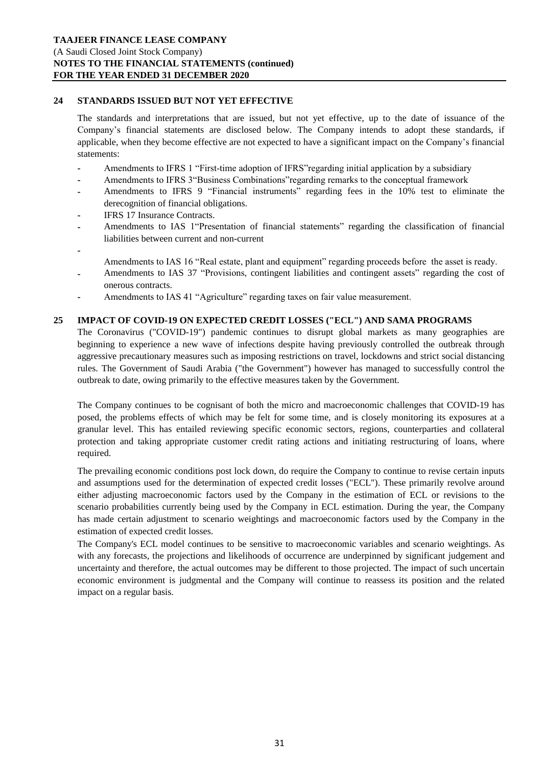## **24 STANDARDS ISSUED BUT NOT YET EFFECTIVE**

The standards and interpretations that are issued, but not yet effective, up to the date of issuance of the Company's financial statements are disclosed below. The Company intends to adopt these standards, if applicable, when they become effective are not expected to have a significant impact on the Company's financial statements:

- **-** Amendments to IFRS 1 "First-time adoption of IFRS"regarding initial application by a subsidiary
- **-** Amendments to IFRS 3"Business Combinations"regarding remarks to the conceptual framework
- **-** Amendments to IFRS 9 "Financial instruments" regarding fees in the 10% test to eliminate the derecognition of financial obligations.
- **-** IFRS 17 Insurance Contracts.

**-**

- **-** Amendments to IAS 1"Presentation of financial statements" regarding the classification of financial liabilities between current and non-current
- Amendments to IAS 16 "Real estate, plant and equipment" regarding proceeds before the asset is ready.
- **-** Amendments to IAS 37 "Provisions, contingent liabilities and contingent assets" regarding the cost of onerous contracts.
- **-** Amendments to IAS 41 "Agriculture" regarding taxes on fair value measurement.

## **25 IMPACT OF COVID-19 ON EXPECTED CREDIT LOSSES ("ECL") AND SAMA PROGRAMS**

The Coronavirus ("COVID-19") pandemic continues to disrupt global markets as many geographies are beginning to experience a new wave of infections despite having previously controlled the outbreak through aggressive precautionary measures such as imposing restrictions on travel, lockdowns and strict social distancing rules. The Government of Saudi Arabia ("the Government") however has managed to successfully control the outbreak to date, owing primarily to the effective measures taken by the Government.

The Company continues to be cognisant of both the micro and macroeconomic challenges that COVID-19 has posed, the problems effects of which may be felt for some time, and is closely monitoring its exposures at a granular level. This has entailed reviewing specific economic sectors, regions, counterparties and collateral protection and taking appropriate customer credit rating actions and initiating restructuring of loans, where required.

The prevailing economic conditions post lock down, do require the Company to continue to revise certain inputs and assumptions used for the determination of expected credit losses ("ECL"). These primarily revolve around either adjusting macroeconomic factors used by the Company in the estimation of ECL or revisions to the scenario probabilities currently being used by the Company in ECL estimation. During the year, the Company has made certain adjustment to scenario weightings and macroeconomic factors used by the Company in the estimation of expected credit losses.

The Company's ECL model continues to be sensitive to macroeconomic variables and scenario weightings. As with any forecasts, the projections and likelihoods of occurrence are underpinned by significant judgement and uncertainty and therefore, the actual outcomes may be different to those projected. The impact of such uncertain economic environment is judgmental and the Company will continue to reassess its position and the related impact on a regular basis.